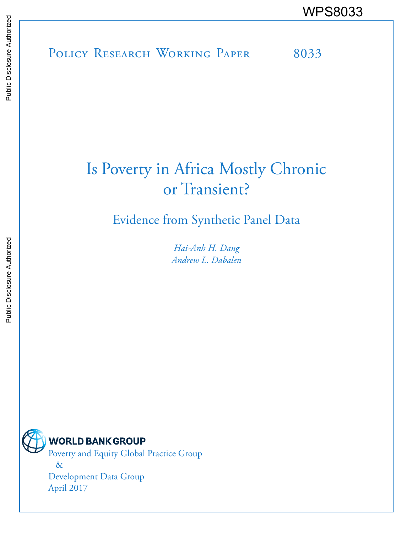POLICY RESEARCH WORKING PAPER 8033 WPS8033

# Is Poverty in Africa Mostly Chronic or Transient?

Evidence from Synthetic Panel Data

*Hai-Anh H. Dang Andrew L. Dabalen*

**WORLD BANK GROUP** Poverty and Equity Global Practice Group

> & Development Data Group April 2017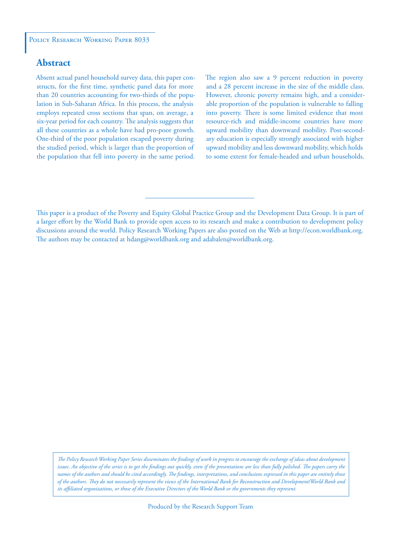## **Abstract**

Absent actual panel household survey data, this paper constructs, for the first time, synthetic panel data for more than 20 countries accounting for two-thirds of the population in Sub-Saharan Africa. In this process, the analysis employs repeated cross sections that span, on average, a six-year period for each country. The analysis suggests that all these countries as a whole have had pro-poor growth. One-third of the poor population escaped poverty during the studied period, which is larger than the proportion of the population that fell into poverty in the same period. The region also saw a 9 percent reduction in poverty and a 28 percent increase in the size of the middle class. However, chronic poverty remains high, and a considerable proportion of the population is vulnerable to falling into poverty. There is some limited evidence that most resource-rich and middle-income countries have more upward mobility than downward mobility. Post-secondary education is especially strongly associated with higher upward mobility and less downward mobility, which holds to some extent for female-headed and urban households.

*The Policy Research Working Paper Series disseminates the findings of work in progress to encourage the exchange of ideas about development*  issues. An objective of the series is to get the findings out quickly, even if the presentations are less than fully polished. The papers carry the *names of the authors and should be cited accordingly. The findings, interpretations, and conclusions expressed in this paper are entirely those of the authors. They do not necessarily represent the views of the International Bank for Reconstruction and Development/World Bank and its affiliated organizations, or those of the Executive Directors of the World Bank or the governments they represent.*

This paper is a product of the Poverty and Equity Global Practice Group and the Development Data Group. It is part of a larger effort by the World Bank to provide open access to its research and make a contribution to development policy discussions around the world. Policy Research Working Papers are also posted on the Web at http://econ.worldbank.org. The authors may be contacted at hdang@worldbank.org and adabalen@worldbank.org.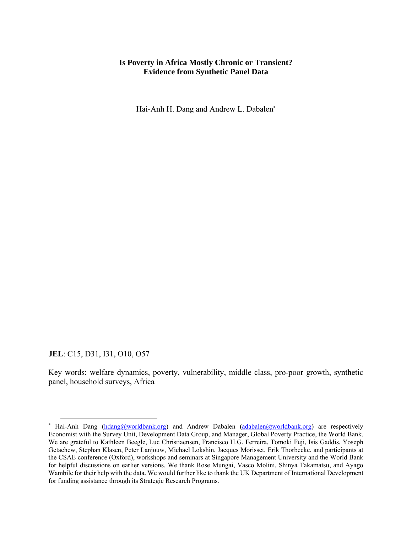### **Is Poverty in Africa Mostly Chronic or Transient? Evidence from Synthetic Panel Data**

Hai-Anh H. Dang and Andrew L. Dabalen\*

**JEL**: C15, D31, I31, O10, O57

Key words: welfare dynamics, poverty, vulnerability, middle class, pro-poor growth, synthetic panel, household surveys, Africa

<sup>\*</sup> Hai-Anh Dang (hdang@worldbank.org) and Andrew Dabalen (adabalen@worldbank.org) are respectively Economist with the Survey Unit, Development Data Group, and Manager, Global Poverty Practice, the World Bank. We are grateful to Kathleen Beegle, Luc Christiaensen, Francisco H.G. Ferreira, Tomoki Fuji, Isis Gaddis, Yoseph Getachew, Stephan Klasen, Peter Lanjouw, Michael Lokshin, Jacques Morisset, Erik Thorbecke, and participants at the CSAE conference (Oxford), workshops and seminars at Singapore Management University and the World Bank for helpful discussions on earlier versions. We thank Rose Mungai, Vasco Molini, Shinya Takamatsu, and Ayago Wambile for their help with the data. We would further like to thank the UK Department of International Development for funding assistance through its Strategic Research Programs.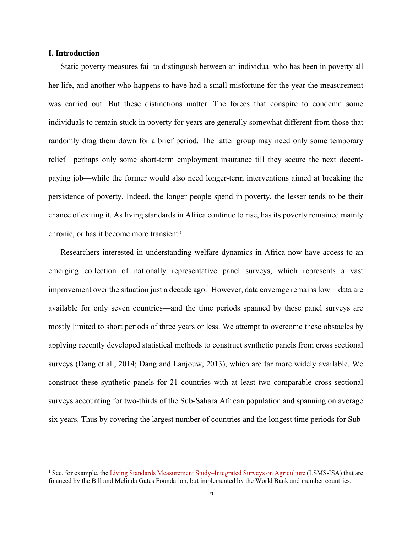#### **I. Introduction**

Static poverty measures fail to distinguish between an individual who has been in poverty all her life, and another who happens to have had a small misfortune for the year the measurement was carried out. But these distinctions matter. The forces that conspire to condemn some individuals to remain stuck in poverty for years are generally somewhat different from those that randomly drag them down for a brief period. The latter group may need only some temporary relief—perhaps only some short-term employment insurance till they secure the next decentpaying job—while the former would also need longer-term interventions aimed at breaking the persistence of poverty. Indeed, the longer people spend in poverty, the lesser tends to be their chance of exiting it. As living standards in Africa continue to rise, has its poverty remained mainly chronic, or has it become more transient?

Researchers interested in understanding welfare dynamics in Africa now have access to an emerging collection of nationally representative panel surveys, which represents a vast improvement over the situation just a decade ago.<sup>1</sup> However, data coverage remains low—data are available for only seven countries—and the time periods spanned by these panel surveys are mostly limited to short periods of three years or less. We attempt to overcome these obstacles by applying recently developed statistical methods to construct synthetic panels from cross sectional surveys (Dang et al., 2014; Dang and Lanjouw, 2013), which are far more widely available. We construct these synthetic panels for 21 countries with at least two comparable cross sectional surveys accounting for two-thirds of the Sub-Sahara African population and spanning on average six years. Thus by covering the largest number of countries and the longest time periods for Sub-

<sup>&</sup>lt;sup>1</sup> See, for example, the Living Standards Measurement Study–Integrated Surveys on Agriculture (LSMS-ISA) that are financed by the Bill and Melinda Gates Foundation, but implemented by the World Bank and member countries.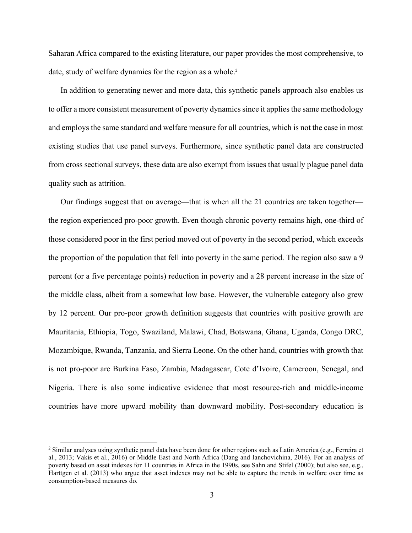Saharan Africa compared to the existing literature, our paper provides the most comprehensive, to date, study of welfare dynamics for the region as a whole.<sup>2</sup>

In addition to generating newer and more data, this synthetic panels approach also enables us to offer a more consistent measurement of poverty dynamics since it applies the same methodology and employs the same standard and welfare measure for all countries, which is not the case in most existing studies that use panel surveys. Furthermore, since synthetic panel data are constructed from cross sectional surveys, these data are also exempt from issues that usually plague panel data quality such as attrition.

Our findings suggest that on average—that is when all the 21 countries are taken together the region experienced pro-poor growth. Even though chronic poverty remains high, one-third of those considered poor in the first period moved out of poverty in the second period, which exceeds the proportion of the population that fell into poverty in the same period. The region also saw a 9 percent (or a five percentage points) reduction in poverty and a 28 percent increase in the size of the middle class, albeit from a somewhat low base. However, the vulnerable category also grew by 12 percent. Our pro-poor growth definition suggests that countries with positive growth are Mauritania, Ethiopia, Togo, Swaziland, Malawi, Chad, Botswana, Ghana, Uganda, Congo DRC, Mozambique, Rwanda, Tanzania, and Sierra Leone. On the other hand, countries with growth that is not pro-poor are Burkina Faso, Zambia, Madagascar, Cote d'Ivoire, Cameroon, Senegal, and Nigeria. There is also some indicative evidence that most resource-rich and middle-income countries have more upward mobility than downward mobility. Post-secondary education is

<sup>&</sup>lt;sup>2</sup> Similar analyses using synthetic panel data have been done for other regions such as Latin America (e.g., Ferreira et al., 2013; Vakis et al., 2016) or Middle East and North Africa (Dang and Ianchovichina, 2016). For an analysis of poverty based on asset indexes for 11 countries in Africa in the 1990s, see Sahn and Stifel (2000); but also see, e.g., Harttgen et al. (2013) who argue that asset indexes may not be able to capture the trends in welfare over time as consumption-based measures do.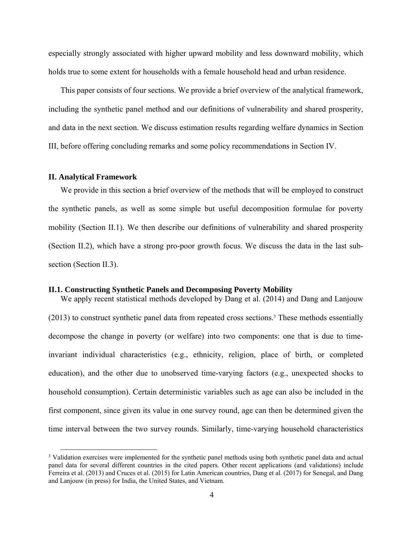especially strongly associated with higher upward mobility and less downward mobility, which holds true to some extent for households with a female household head and urban residence.

This paper consists of four sections. We provide a brief overview of the analytical framework, including the synthetic panel method and our definitions of vulnerability and shared prosperity, and data in the next section. We discuss estimation results regarding welfare dynamics in Section III, before offering concluding remarks and some policy recommendations in Section IV.

#### **II. Analytical Framework**

We provide in this section a brief overview of the methods that will be employed to construct the synthetic panels, as well as some simple but useful decomposition formulae for poverty mobility (Section II.1). We then describe our definitions of vulnerability and shared prosperity (Section II.2), which have a strong pro-poor growth focus. We discuss the data in the last subsection (Section II.3).

#### **II.1. Constructing Synthetic Panels and Decomposing Poverty Mobility**

We apply recent statistical methods developed by Dang et al. (2014) and Dang and Lanjouw (2013) to construct synthetic panel data from repeated cross sections.3 These methods essentially decompose the change in poverty (or welfare) into two components: one that is due to timeinvariant individual characteristics (e.g., ethnicity, religion, place of birth, or completed education), and the other due to unobserved time-varying factors (e.g., unexpected shocks to household consumption). Certain deterministic variables such as age can also be included in the first component, since given its value in one survey round, age can then be determined given the time interval between the two survey rounds. Similarly, time-varying household characteristics

<sup>&</sup>lt;sup>3</sup> Validation exercises were implemented for the synthetic panel methods using both synthetic panel data and actual panel data for several different countries in the cited papers. Other recent applications (and validations) include Ferreira et al. (2013) and Cruces et al. (2015) for Latin American countries, Dang et al. (2017) for Senegal, and Dang and Lanjouw (in press) for India, the United States, and Vietnam.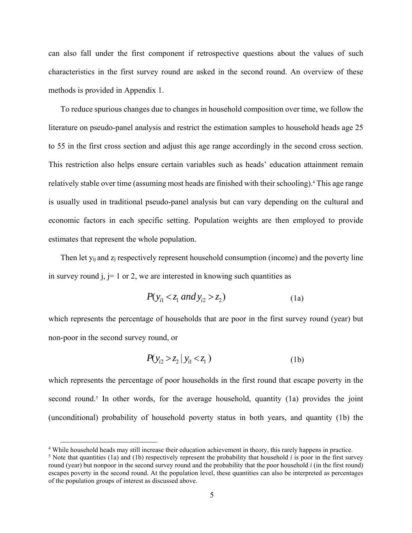can also fall under the first component if retrospective questions about the values of such characteristics in the first survey round are asked in the second round. An overview of these methods is provided in Appendix 1.

To reduce spurious changes due to changes in household composition over time, we follow the literature on pseudo-panel analysis and restrict the estimation samples to household heads age 25 to 55 in the first cross section and adjust this age range accordingly in the second cross section. This restriction also helps ensure certain variables such as heads' education attainment remain relatively stable over time (assuming most heads are finished with their schooling).<sup>4</sup> This age range is usually used in traditional pseudo-panel analysis but can vary depending on the cultural and economic factors in each specific setting. Population weights are then employed to provide estimates that represent the whole population.

Then let  $y_{ij}$  and  $z_j$  respectively represent household consumption (income) and the poverty line in survey round j,  $j = 1$  or 2, we are interested in knowing such quantities as

$$
P(y_{i1} < z_1 \text{ and } y_{i2} > z_2) \tag{1a}
$$

which represents the percentage of households that are poor in the first survey round (year) but non-poor in the second survey round, or

$$
P(y_{i2} > z_2 | y_{i1} < z_1)
$$
 (1b)

which represents the percentage of poor households in the first round that escape poverty in the second round.<sup>5</sup> In other words, for the average household, quantity (1a) provides the joint (unconditional) probability of household poverty status in both years, and quantity (1b) the

 <sup>4</sup> While household heads may still increase their education achievement in theory, this rarely happens in practice.

<sup>&</sup>lt;sup>5</sup> Note that quantities (1a) and (1b) respectively represent the probability that household *i* is poor in the first survey round (year) but nonpoor in the second survey round and the probability that the poor household *i* (in the first round) escapes poverty in the second round. At the population level, these quantities can also be interpreted as percentages of the population groups of interest as discussed above.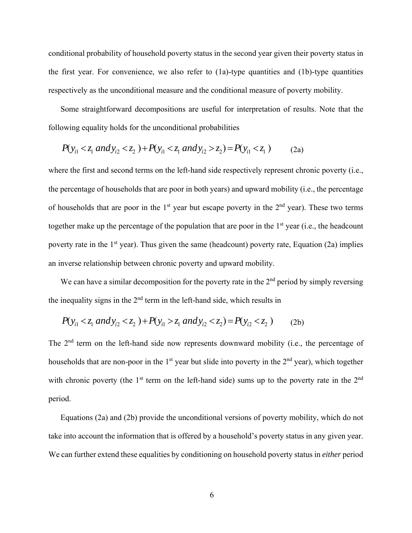conditional probability of household poverty status in the second year given their poverty status in the first year. For convenience, we also refer to (1a)-type quantities and (1b)-type quantities respectively as the unconditional measure and the conditional measure of poverty mobility.

Some straightforward decompositions are useful for interpretation of results. Note that the following equality holds for the unconditional probabilities

$$
P(y_{i1} < z_1 \text{ and } y_{i2} < z_2) + P(y_{i1} < z_1 \text{ and } y_{i2} > z_2) = P(y_{i1} < z_1) \tag{2a}
$$

where the first and second terms on the left-hand side respectively represent chronic poverty (i.e., the percentage of households that are poor in both years) and upward mobility (i.e., the percentage of households that are poor in the  $1<sup>st</sup>$  year but escape poverty in the  $2<sup>nd</sup>$  year). These two terms together make up the percentage of the population that are poor in the  $1<sup>st</sup>$  year (i.e., the headcount poverty rate in the  $1<sup>st</sup>$  year). Thus given the same (headcount) poverty rate, Equation (2a) implies an inverse relationship between chronic poverty and upward mobility.

We can have a similar decomposition for the poverty rate in the  $2<sup>nd</sup>$  period by simply reversing the inequality signs in the  $2<sup>nd</sup>$  term in the left-hand side, which results in

$$
P(y_{i1} < z_1 \text{ and } y_{i2} < z_2) + P(y_{i1} > z_1 \text{ and } y_{i2} < z_2) = P(y_{i2} < z_2) \tag{2b}
$$

The 2<sup>nd</sup> term on the left-hand side now represents downward mobility (i.e., the percentage of households that are non-poor in the  $1<sup>st</sup>$  year but slide into poverty in the  $2<sup>nd</sup>$  year), which together with chronic poverty (the  $1<sup>st</sup>$  term on the left-hand side) sums up to the poverty rate in the  $2<sup>nd</sup>$ period.

Equations (2a) and (2b) provide the unconditional versions of poverty mobility, which do not take into account the information that is offered by a household's poverty status in any given year. We can further extend these equalities by conditioning on household poverty status in *either* period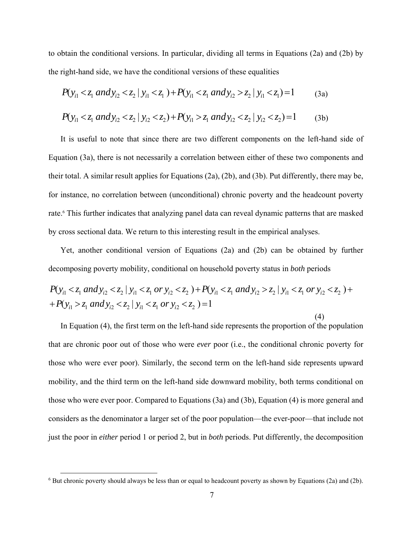to obtain the conditional versions. In particular, dividing all terms in Equations (2a) and (2b) by the right-hand side, we have the conditional versions of these equalities

$$
P(y_{i1} < z_1 \text{ and } y_{i2} < z_2 \mid y_{i1} < z_1) + P(y_{i1} < z_1 \text{ and } y_{i2} > z_2 \mid y_{i1} < z_1) = 1 \tag{3a}
$$
\n
$$
P(y_{i1} < z_1 \text{ and } y_{i2} < z_2 \mid y_{i2} < z_2) + P(y_{i1} > z_1 \text{ and } y_{i2} < z_2 \mid y_{i2} < z_2) = 1 \tag{3b}
$$

It is useful to note that since there are two different components on the left-hand side of Equation (3a), there is not necessarily a correlation between either of these two components and their total. A similar result applies for Equations (2a), (2b), and (3b). Put differently, there may be, for instance, no correlation between (unconditional) chronic poverty and the headcount poverty rate.<sup>6</sup> This further indicates that analyzing panel data can reveal dynamic patterns that are masked by cross sectional data. We return to this interesting result in the empirical analyses.

Yet, another conditional version of Equations (2a) and (2b) can be obtained by further decomposing poverty mobility, conditional on household poverty status in *both* periods

$$
P(y_{i1} < z_1 \text{ and } y_{i2} < z_2 \mid y_{i1} < z_1 \text{ or } y_{i2} < z_2) + P(y_{i1} < z_1 \text{ and } y_{i2} > z_2 \mid y_{i1} < z_1 \text{ or } y_{i2} < z_2) + P(y_{i1} > z_1 \text{ and } y_{i2} < z_2 \mid y_{i1} < z_1 \text{ or } y_{i2} < z_2) = 1
$$

(4)

In Equation (4), the first term on the left-hand side represents the proportion of the population that are chronic poor out of those who were *ever* poor (i.e., the conditional chronic poverty for those who were ever poor). Similarly, the second term on the left-hand side represents upward mobility, and the third term on the left-hand side downward mobility, both terms conditional on those who were ever poor. Compared to Equations (3a) and (3b), Equation (4) is more general and considers as the denominator a larger set of the poor population—the ever-poor—that include not just the poor in *either* period 1 or period 2, but in *both* periods. Put differently, the decomposition

<sup>&</sup>lt;sup>6</sup> But chronic poverty should always be less than or equal to headcount poverty as shown by Equations (2a) and (2b).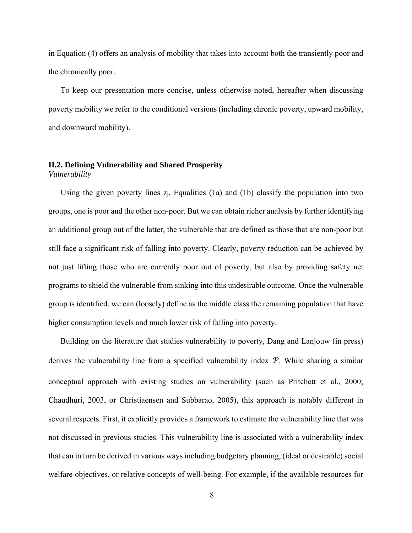in Equation (4) offers an analysis of mobility that takes into account both the transiently poor and the chronically poor.

To keep our presentation more concise, unless otherwise noted, hereafter when discussing poverty mobility we refer to the conditional versions (including chronic poverty, upward mobility, and downward mobility).

#### **II.2. Defining Vulnerability and Shared Prosperity**  *Vulnerability*

Using the given poverty lines  $z_i$ , Equalities (1a) and (1b) classify the population into two groups, one is poor and the other non-poor. But we can obtain richer analysis by further identifying an additional group out of the latter, the vulnerable that are defined as those that are non-poor but still face a significant risk of falling into poverty. Clearly, poverty reduction can be achieved by not just lifting those who are currently poor out of poverty, but also by providing safety net programs to shield the vulnerable from sinking into this undesirable outcome. Once the vulnerable group is identified, we can (loosely) define as the middle class the remaining population that have higher consumption levels and much lower risk of falling into poverty.

Building on the literature that studies vulnerability to poverty, Dang and Lanjouw (in press) derives the vulnerability line from a specified vulnerability index *P*. While sharing a similar conceptual approach with existing studies on vulnerability (such as Pritchett et al., 2000; Chaudhuri, 2003, or Christiaensen and Subbarao, 2005), this approach is notably different in several respects. First, it explicitly provides a framework to estimate the vulnerability line that was not discussed in previous studies. This vulnerability line is associated with a vulnerability index that can in turn be derived in various ways including budgetary planning, (ideal or desirable) social welfare objectives, or relative concepts of well-being. For example, if the available resources for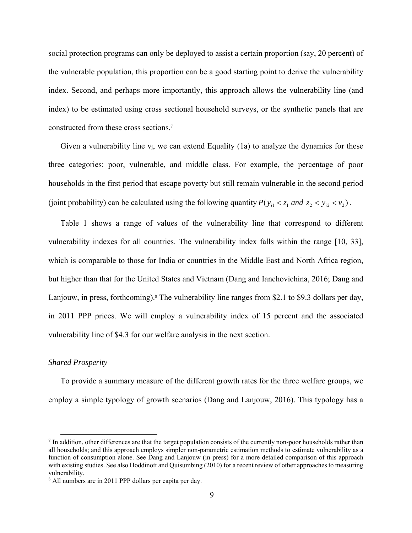social protection programs can only be deployed to assist a certain proportion (say, 20 percent) of the vulnerable population, this proportion can be a good starting point to derive the vulnerability index. Second, and perhaps more importantly, this approach allows the vulnerability line (and index) to be estimated using cross sectional household surveys, or the synthetic panels that are constructed from these cross sections.7

Given a vulnerability line  $v_i$ , we can extend Equality (1a) to analyze the dynamics for these three categories: poor, vulnerable, and middle class. For example, the percentage of poor households in the first period that escape poverty but still remain vulnerable in the second period (joint probability) can be calculated using the following quantity  $P(y_{i1} < z_1 \text{ and } z_2 < y_{i2} < v_2)$ .

Table 1 shows a range of values of the vulnerability line that correspond to different vulnerability indexes for all countries. The vulnerability index falls within the range [10, 33], which is comparable to those for India or countries in the Middle East and North Africa region, but higher than that for the United States and Vietnam (Dang and Ianchovichina, 2016; Dang and Lanjouw, in press, forthcoming).<sup>8</sup> The vulnerability line ranges from \$2.1 to \$9.3 dollars per day, in 2011 PPP prices. We will employ a vulnerability index of 15 percent and the associated vulnerability line of \$4.3 for our welfare analysis in the next section.

#### *Shared Prosperity*

To provide a summary measure of the different growth rates for the three welfare groups, we employ a simple typology of growth scenarios (Dang and Lanjouw, 2016). This typology has a

 $<sup>7</sup>$  In addition, other differences are that the target population consists of the currently non-poor households rather than</sup> all households; and this approach employs simpler non-parametric estimation methods to estimate vulnerability as a function of consumption alone. See Dang and Lanjouw (in press) for a more detailed comparison of this approach with existing studies. See also Hoddinott and Quisumbing (2010) for a recent review of other approaches to measuring vulnerability.

<sup>8</sup> All numbers are in 2011 PPP dollars per capita per day.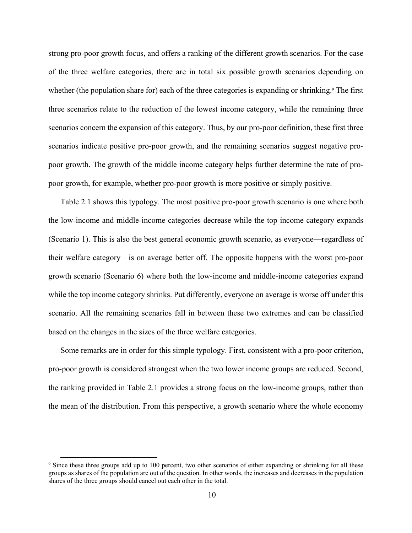strong pro-poor growth focus, and offers a ranking of the different growth scenarios. For the case of the three welfare categories, there are in total six possible growth scenarios depending on whether (the population share for) each of the three categories is expanding or shrinking.<sup>9</sup> The first three scenarios relate to the reduction of the lowest income category, while the remaining three scenarios concern the expansion of this category. Thus, by our pro-poor definition, these first three scenarios indicate positive pro-poor growth, and the remaining scenarios suggest negative propoor growth. The growth of the middle income category helps further determine the rate of propoor growth, for example, whether pro-poor growth is more positive or simply positive.

Table 2.1 shows this typology. The most positive pro-poor growth scenario is one where both the low-income and middle-income categories decrease while the top income category expands (Scenario 1). This is also the best general economic growth scenario, as everyone—regardless of their welfare category—is on average better off. The opposite happens with the worst pro-poor growth scenario (Scenario 6) where both the low-income and middle-income categories expand while the top income category shrinks. Put differently, everyone on average is worse off under this scenario. All the remaining scenarios fall in between these two extremes and can be classified based on the changes in the sizes of the three welfare categories.

Some remarks are in order for this simple typology. First, consistent with a pro-poor criterion, pro-poor growth is considered strongest when the two lower income groups are reduced. Second, the ranking provided in Table 2.1 provides a strong focus on the low-income groups, rather than the mean of the distribution. From this perspective, a growth scenario where the whole economy

<sup>&</sup>lt;sup>9</sup> Since these three groups add up to 100 percent, two other scenarios of either expanding or shrinking for all these groups as shares of the population are out of the question. In other words, the increases and decreases in the population shares of the three groups should cancel out each other in the total.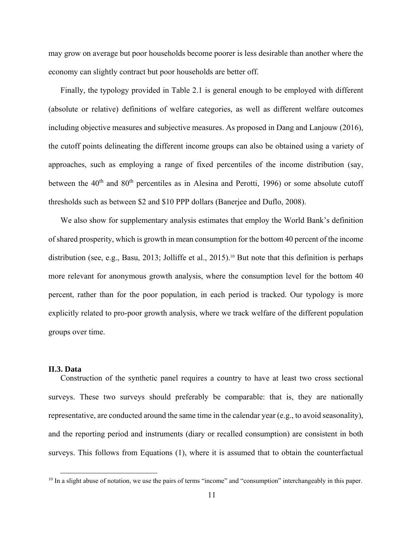may grow on average but poor households become poorer is less desirable than another where the economy can slightly contract but poor households are better off.

Finally, the typology provided in Table 2.1 is general enough to be employed with different (absolute or relative) definitions of welfare categories, as well as different welfare outcomes including objective measures and subjective measures. As proposed in Dang and Lanjouw (2016), the cutoff points delineating the different income groups can also be obtained using a variety of approaches, such as employing a range of fixed percentiles of the income distribution (say, between the  $40<sup>th</sup>$  and  $80<sup>th</sup>$  percentiles as in Alesina and Perotti, 1996) or some absolute cutoff thresholds such as between \$2 and \$10 PPP dollars (Banerjee and Duflo, 2008).

We also show for supplementary analysis estimates that employ the World Bank's definition of shared prosperity, which is growth in mean consumption for the bottom 40 percent of the income distribution (see, e.g., Basu, 2013; Jolliffe et al., 2015).10 But note that this definition is perhaps more relevant for anonymous growth analysis, where the consumption level for the bottom 40 percent, rather than for the poor population, in each period is tracked. Our typology is more explicitly related to pro-poor growth analysis, where we track welfare of the different population groups over time.

#### **II.3. Data**

Construction of the synthetic panel requires a country to have at least two cross sectional surveys. These two surveys should preferably be comparable: that is, they are nationally representative, are conducted around the same time in the calendar year (e.g., to avoid seasonality), and the reporting period and instruments (diary or recalled consumption) are consistent in both surveys. This follows from Equations (1), where it is assumed that to obtain the counterfactual

<sup>&</sup>lt;sup>10</sup> In a slight abuse of notation, we use the pairs of terms "income" and "consumption" interchangeably in this paper.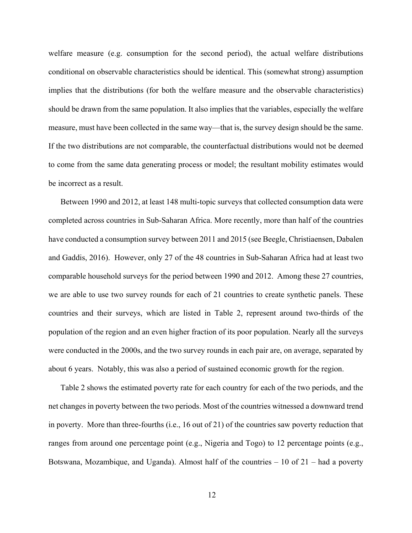welfare measure (e.g. consumption for the second period), the actual welfare distributions conditional on observable characteristics should be identical. This (somewhat strong) assumption implies that the distributions (for both the welfare measure and the observable characteristics) should be drawn from the same population. It also implies that the variables, especially the welfare measure, must have been collected in the same way—that is, the survey design should be the same. If the two distributions are not comparable, the counterfactual distributions would not be deemed to come from the same data generating process or model; the resultant mobility estimates would be incorrect as a result.

Between 1990 and 2012, at least 148 multi-topic surveys that collected consumption data were completed across countries in Sub-Saharan Africa. More recently, more than half of the countries have conducted a consumption survey between 2011 and 2015 (see Beegle, Christiaensen, Dabalen and Gaddis, 2016). However, only 27 of the 48 countries in Sub-Saharan Africa had at least two comparable household surveys for the period between 1990 and 2012. Among these 27 countries, we are able to use two survey rounds for each of 21 countries to create synthetic panels. These countries and their surveys, which are listed in Table 2, represent around two-thirds of the population of the region and an even higher fraction of its poor population. Nearly all the surveys were conducted in the 2000s, and the two survey rounds in each pair are, on average, separated by about 6 years. Notably, this was also a period of sustained economic growth for the region.

Table 2 shows the estimated poverty rate for each country for each of the two periods, and the net changes in poverty between the two periods. Most of the countries witnessed a downward trend in poverty. More than three-fourths (i.e., 16 out of 21) of the countries saw poverty reduction that ranges from around one percentage point (e.g., Nigeria and Togo) to 12 percentage points (e.g., Botswana, Mozambique, and Uganda). Almost half of the countries  $-10$  of  $21$  – had a poverty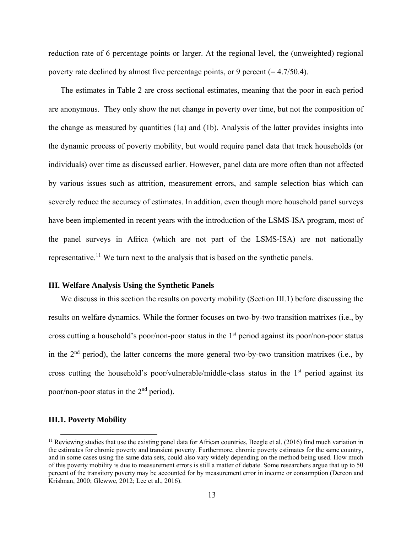reduction rate of 6 percentage points or larger. At the regional level, the (unweighted) regional poverty rate declined by almost five percentage points, or 9 percent  $(= 4.7/50.4)$ .

The estimates in Table 2 are cross sectional estimates, meaning that the poor in each period are anonymous. They only show the net change in poverty over time, but not the composition of the change as measured by quantities (1a) and (1b). Analysis of the latter provides insights into the dynamic process of poverty mobility, but would require panel data that track households (or individuals) over time as discussed earlier. However, panel data are more often than not affected by various issues such as attrition, measurement errors, and sample selection bias which can severely reduce the accuracy of estimates. In addition, even though more household panel surveys have been implemented in recent years with the introduction of the LSMS-ISA program, most of the panel surveys in Africa (which are not part of the LSMS-ISA) are not nationally representative.<sup>11</sup> We turn next to the analysis that is based on the synthetic panels.

#### **III. Welfare Analysis Using the Synthetic Panels**

We discuss in this section the results on poverty mobility (Section III.1) before discussing the results on welfare dynamics. While the former focuses on two-by-two transition matrixes (i.e., by cross cutting a household's poor/non-poor status in the 1<sup>st</sup> period against its poor/non-poor status in the  $2<sup>nd</sup>$  period), the latter concerns the more general two-by-two transition matrixes (i.e., by cross cutting the household's poor/vulnerable/middle-class status in the  $1<sup>st</sup>$  period against its poor/non-poor status in the 2nd period).

#### **III.1. Poverty Mobility**

 $<sup>11</sup>$  Reviewing studies that use the existing panel data for African countries, Beegle et al. (2016) find much variation in</sup> the estimates for chronic poverty and transient poverty. Furthermore, chronic poverty estimates for the same country, and in some cases using the same data sets, could also vary widely depending on the method being used. How much of this poverty mobility is due to measurement errors is still a matter of debate. Some researchers argue that up to 50 percent of the transitory poverty may be accounted for by measurement error in income or consumption (Dercon and Krishnan, 2000; Glewwe, 2012; Lee et al., 2016).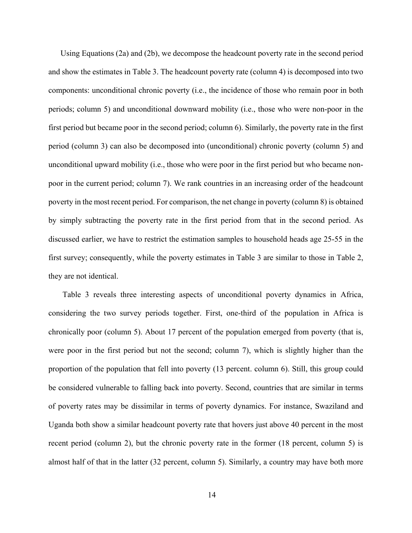Using Equations (2a) and (2b), we decompose the headcount poverty rate in the second period and show the estimates in Table 3. The headcount poverty rate (column 4) is decomposed into two components: unconditional chronic poverty (i.e., the incidence of those who remain poor in both periods; column 5) and unconditional downward mobility (i.e., those who were non-poor in the first period but became poor in the second period; column 6). Similarly, the poverty rate in the first period (column 3) can also be decomposed into (unconditional) chronic poverty (column 5) and unconditional upward mobility (i.e., those who were poor in the first period but who became nonpoor in the current period; column 7). We rank countries in an increasing order of the headcount poverty in the most recent period. For comparison, the net change in poverty (column 8) is obtained by simply subtracting the poverty rate in the first period from that in the second period. As discussed earlier, we have to restrict the estimation samples to household heads age 25-55 in the first survey; consequently, while the poverty estimates in Table 3 are similar to those in Table 2, they are not identical.

 Table 3 reveals three interesting aspects of unconditional poverty dynamics in Africa, considering the two survey periods together. First, one-third of the population in Africa is chronically poor (column 5). About 17 percent of the population emerged from poverty (that is, were poor in the first period but not the second; column 7), which is slightly higher than the proportion of the population that fell into poverty (13 percent. column 6). Still, this group could be considered vulnerable to falling back into poverty. Second, countries that are similar in terms of poverty rates may be dissimilar in terms of poverty dynamics. For instance, Swaziland and Uganda both show a similar headcount poverty rate that hovers just above 40 percent in the most recent period (column 2), but the chronic poverty rate in the former (18 percent, column 5) is almost half of that in the latter (32 percent, column 5). Similarly, a country may have both more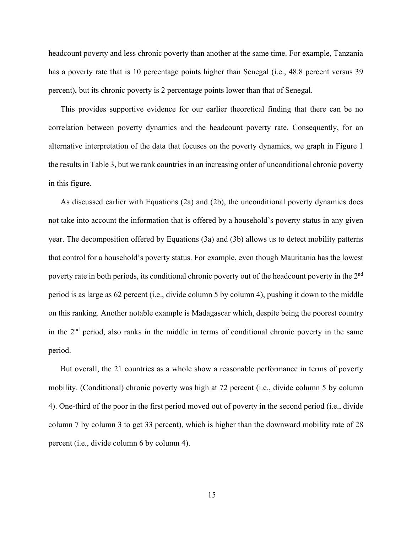headcount poverty and less chronic poverty than another at the same time. For example, Tanzania has a poverty rate that is 10 percentage points higher than Senegal (i.e., 48.8 percent versus 39 percent), but its chronic poverty is 2 percentage points lower than that of Senegal.

This provides supportive evidence for our earlier theoretical finding that there can be no correlation between poverty dynamics and the headcount poverty rate. Consequently, for an alternative interpretation of the data that focuses on the poverty dynamics, we graph in Figure 1 the results in Table 3, but we rank countries in an increasing order of unconditional chronic poverty in this figure.

As discussed earlier with Equations (2a) and (2b), the unconditional poverty dynamics does not take into account the information that is offered by a household's poverty status in any given year. The decomposition offered by Equations (3a) and (3b) allows us to detect mobility patterns that control for a household's poverty status. For example, even though Mauritania has the lowest poverty rate in both periods, its conditional chronic poverty out of the headcount poverty in the 2nd period is as large as 62 percent (i.e., divide column 5 by column 4), pushing it down to the middle on this ranking. Another notable example is Madagascar which, despite being the poorest country in the  $2<sup>nd</sup>$  period, also ranks in the middle in terms of conditional chronic poverty in the same period.

But overall, the 21 countries as a whole show a reasonable performance in terms of poverty mobility. (Conditional) chronic poverty was high at 72 percent (i.e., divide column 5 by column 4). One-third of the poor in the first period moved out of poverty in the second period (i.e., divide column 7 by column 3 to get 33 percent), which is higher than the downward mobility rate of 28 percent (i.e., divide column 6 by column 4).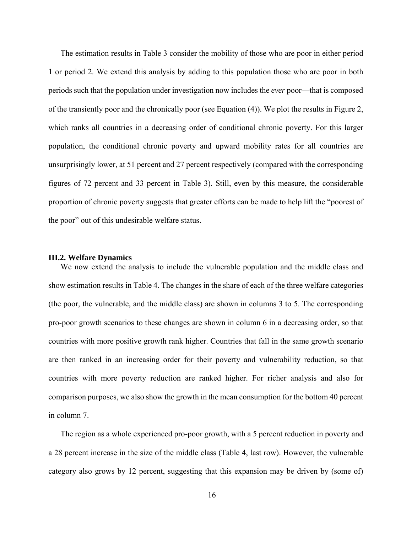The estimation results in Table 3 consider the mobility of those who are poor in either period 1 or period 2. We extend this analysis by adding to this population those who are poor in both periods such that the population under investigation now includes the *ever* poor—that is composed of the transiently poor and the chronically poor (see Equation (4)). We plot the results in Figure 2, which ranks all countries in a decreasing order of conditional chronic poverty. For this larger population, the conditional chronic poverty and upward mobility rates for all countries are unsurprisingly lower, at 51 percent and 27 percent respectively (compared with the corresponding figures of 72 percent and 33 percent in Table 3). Still, even by this measure, the considerable proportion of chronic poverty suggests that greater efforts can be made to help lift the "poorest of the poor" out of this undesirable welfare status.

#### **III.2. Welfare Dynamics**

We now extend the analysis to include the vulnerable population and the middle class and show estimation results in Table 4. The changes in the share of each of the three welfare categories (the poor, the vulnerable, and the middle class) are shown in columns 3 to 5. The corresponding pro-poor growth scenarios to these changes are shown in column 6 in a decreasing order, so that countries with more positive growth rank higher. Countries that fall in the same growth scenario are then ranked in an increasing order for their poverty and vulnerability reduction, so that countries with more poverty reduction are ranked higher. For richer analysis and also for comparison purposes, we also show the growth in the mean consumption for the bottom 40 percent in column 7.

The region as a whole experienced pro-poor growth, with a 5 percent reduction in poverty and a 28 percent increase in the size of the middle class (Table 4, last row). However, the vulnerable category also grows by 12 percent, suggesting that this expansion may be driven by (some of)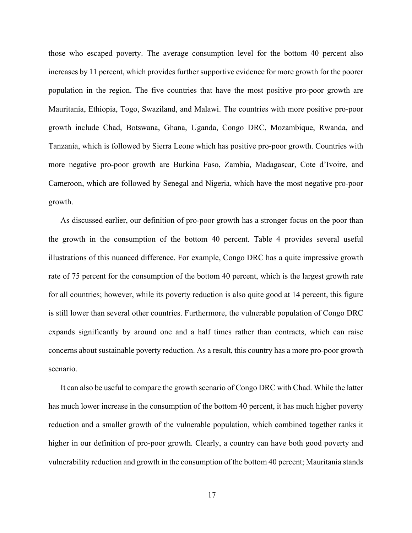those who escaped poverty. The average consumption level for the bottom 40 percent also increases by 11 percent, which provides further supportive evidence for more growth for the poorer population in the region. The five countries that have the most positive pro-poor growth are Mauritania, Ethiopia, Togo, Swaziland, and Malawi. The countries with more positive pro-poor growth include Chad, Botswana, Ghana, Uganda, Congo DRC, Mozambique, Rwanda, and Tanzania, which is followed by Sierra Leone which has positive pro-poor growth. Countries with more negative pro-poor growth are Burkina Faso, Zambia, Madagascar, Cote d'Ivoire, and Cameroon, which are followed by Senegal and Nigeria, which have the most negative pro-poor growth.

As discussed earlier, our definition of pro-poor growth has a stronger focus on the poor than the growth in the consumption of the bottom 40 percent. Table 4 provides several useful illustrations of this nuanced difference. For example, Congo DRC has a quite impressive growth rate of 75 percent for the consumption of the bottom 40 percent, which is the largest growth rate for all countries; however, while its poverty reduction is also quite good at 14 percent, this figure is still lower than several other countries. Furthermore, the vulnerable population of Congo DRC expands significantly by around one and a half times rather than contracts, which can raise concerns about sustainable poverty reduction. As a result, this country has a more pro-poor growth scenario.

It can also be useful to compare the growth scenario of Congo DRC with Chad. While the latter has much lower increase in the consumption of the bottom 40 percent, it has much higher poverty reduction and a smaller growth of the vulnerable population, which combined together ranks it higher in our definition of pro-poor growth. Clearly, a country can have both good poverty and vulnerability reduction and growth in the consumption of the bottom 40 percent; Mauritania stands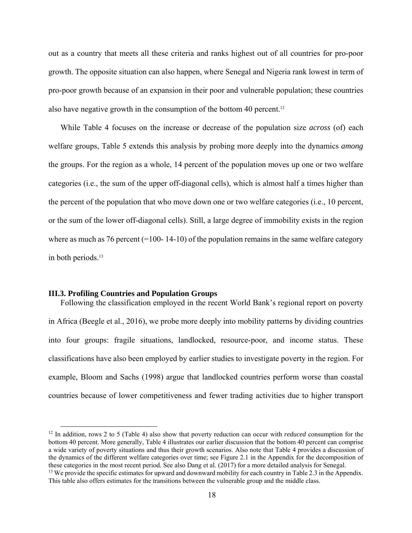out as a country that meets all these criteria and ranks highest out of all countries for pro-poor growth. The opposite situation can also happen, where Senegal and Nigeria rank lowest in term of pro-poor growth because of an expansion in their poor and vulnerable population; these countries also have negative growth in the consumption of the bottom 40 percent.12

While Table 4 focuses on the increase or decrease of the population size *across* (of) each welfare groups, Table 5 extends this analysis by probing more deeply into the dynamics *among* the groups. For the region as a whole, 14 percent of the population moves up one or two welfare categories (i.e., the sum of the upper off-diagonal cells), which is almost half a times higher than the percent of the population that who move down one or two welfare categories (i.e., 10 percent, or the sum of the lower off-diagonal cells). Still, a large degree of immobility exists in the region where as much as 76 percent  $(=100 - 14 - 10)$  of the population remains in the same welfare category in both periods.13

#### **III.3. Profiling Countries and Population Groups**

Following the classification employed in the recent World Bank's regional report on poverty in Africa (Beegle et al., 2016), we probe more deeply into mobility patterns by dividing countries into four groups: fragile situations, landlocked, resource-poor, and income status. These classifications have also been employed by earlier studies to investigate poverty in the region. For example, Bloom and Sachs (1998) argue that landlocked countries perform worse than coastal countries because of lower competitiveness and fewer trading activities due to higher transport

 <sup>12</sup> In addition, rows 2 to 5 (Table 4) also show that poverty reduction can occur with *reduced* consumption for the bottom 40 percent. More generally, Table 4 illustrates our earlier discussion that the bottom 40 percent can comprise a wide variety of poverty situations and thus their growth scenarios. Also note that Table 4 provides a discussion of the dynamics of the different welfare categories over time; see Figure 2.1 in the Appendix for the decomposition of these categories in the most recent period. See also Dang et al. (2017) for a more detailed analysis for Senegal.<br><sup>13</sup> We provide the specific estimates for upward and downward mobility for each country in Table 2.3 in the

This table also offers estimates for the transitions between the vulnerable group and the middle class.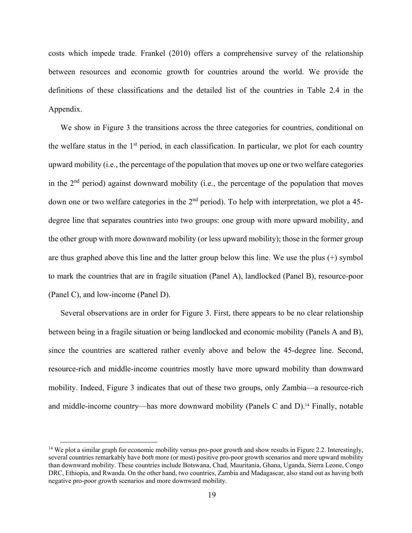costs which impede trade. Frankel (2010) offers a comprehensive survey of the relationship between resources and economic growth for countries around the world. We provide the definitions of these classifications and the detailed list of the countries in Table 2.4 in the Appendix.

We show in Figure 3 the transitions across the three categories for countries, conditional on the welfare status in the 1st period, in each classification. In particular, we plot for each country upward mobility (i.e., the percentage of the population that moves up one or two welfare categories in the  $2<sup>nd</sup>$  period) against downward mobility (i.e., the percentage of the population that moves down one or two welfare categories in the 2<sup>nd</sup> period). To help with interpretation, we plot a 45degree line that separates countries into two groups: one group with more upward mobility, and the other group with more downward mobility (or less upward mobility); those in the former group are thus graphed above this line and the latter group below this line. We use the plus (+) symbol to mark the countries that are in fragile situation (Panel A), landlocked (Panel B), resource-poor (Panel C), and low-income (Panel D).

Several observations are in order for Figure 3. First, there appears to be no clear relationship between being in a fragile situation or being landlocked and economic mobility (Panels A and B), since the countries are scattered rather evenly above and below the 45-degree line. Second, resource-rich and middle-income countries mostly have more upward mobility than downward mobility. Indeed, Figure 3 indicates that out of these two groups, only Zambia—a resource-rich and middle-income country—has more downward mobility (Panels C and D).14 Finally, notable

<sup>&</sup>lt;sup>14</sup> We plot a similar graph for economic mobility versus pro-poor growth and show results in Figure 2.2. Interestingly, several countries remarkably have *both* more (or most) positive pro-poor growth scenarios and more upward mobility than downward mobility. These countries include Botswana, Chad, Mauritania, Ghana, Uganda, Sierra Leone, Congo DRC, Ethiopia, and Rwanda. On the other hand, two countries, Zambia and Madagascar, also stand out as having both negative pro-poor growth scenarios and more downward mobility.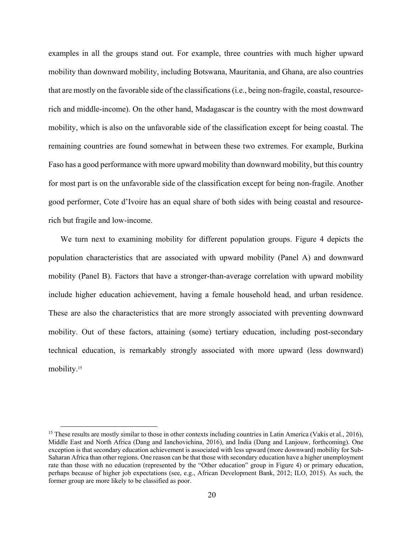examples in all the groups stand out. For example, three countries with much higher upward mobility than downward mobility, including Botswana, Mauritania, and Ghana, are also countries that are mostly on the favorable side of the classifications (i.e., being non-fragile, coastal, resourcerich and middle-income). On the other hand, Madagascar is the country with the most downward mobility, which is also on the unfavorable side of the classification except for being coastal. The remaining countries are found somewhat in between these two extremes. For example, Burkina Faso has a good performance with more upward mobility than downward mobility, but this country for most part is on the unfavorable side of the classification except for being non-fragile. Another good performer, Cote d'Ivoire has an equal share of both sides with being coastal and resourcerich but fragile and low-income.

We turn next to examining mobility for different population groups. Figure 4 depicts the population characteristics that are associated with upward mobility (Panel A) and downward mobility (Panel B). Factors that have a stronger-than-average correlation with upward mobility include higher education achievement, having a female household head, and urban residence. These are also the characteristics that are more strongly associated with preventing downward mobility. Out of these factors, attaining (some) tertiary education, including post-secondary technical education, is remarkably strongly associated with more upward (less downward) mobility.<sup>15</sup>

<sup>&</sup>lt;sup>15</sup> These results are mostly similar to those in other contexts including countries in Latin America (Vakis et al., 2016), Middle East and North Africa (Dang and Ianchovichina, 2016), and India (Dang and Lanjouw, forthcoming). One exception is that secondary education achievement is associated with less upward (more downward) mobility for Sub-Saharan Africa than other regions. One reason can be that those with secondary education have a higher unemployment rate than those with no education (represented by the "Other education" group in Figure 4) or primary education, perhaps because of higher job expectations (see, e.g., African Development Bank, 2012; ILO, 2015). As such, the former group are more likely to be classified as poor.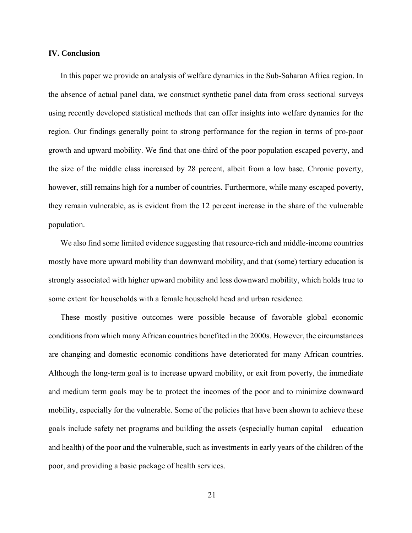#### **IV. Conclusion**

In this paper we provide an analysis of welfare dynamics in the Sub-Saharan Africa region. In the absence of actual panel data, we construct synthetic panel data from cross sectional surveys using recently developed statistical methods that can offer insights into welfare dynamics for the region. Our findings generally point to strong performance for the region in terms of pro-poor growth and upward mobility. We find that one-third of the poor population escaped poverty, and the size of the middle class increased by 28 percent, albeit from a low base. Chronic poverty, however, still remains high for a number of countries. Furthermore, while many escaped poverty, they remain vulnerable, as is evident from the 12 percent increase in the share of the vulnerable population.

We also find some limited evidence suggesting that resource-rich and middle-income countries mostly have more upward mobility than downward mobility, and that (some) tertiary education is strongly associated with higher upward mobility and less downward mobility, which holds true to some extent for households with a female household head and urban residence.

These mostly positive outcomes were possible because of favorable global economic conditions from which many African countries benefited in the 2000s. However, the circumstances are changing and domestic economic conditions have deteriorated for many African countries. Although the long-term goal is to increase upward mobility, or exit from poverty, the immediate and medium term goals may be to protect the incomes of the poor and to minimize downward mobility, especially for the vulnerable. Some of the policies that have been shown to achieve these goals include safety net programs and building the assets (especially human capital – education and health) of the poor and the vulnerable, such as investments in early years of the children of the poor, and providing a basic package of health services.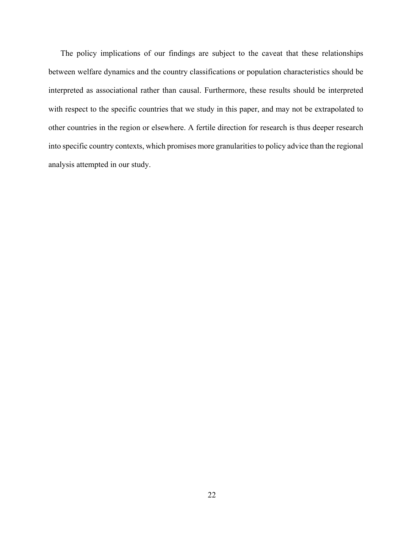The policy implications of our findings are subject to the caveat that these relationships between welfare dynamics and the country classifications or population characteristics should be interpreted as associational rather than causal. Furthermore, these results should be interpreted with respect to the specific countries that we study in this paper, and may not be extrapolated to other countries in the region or elsewhere. A fertile direction for research is thus deeper research into specific country contexts, which promises more granularities to policy advice than the regional analysis attempted in our study.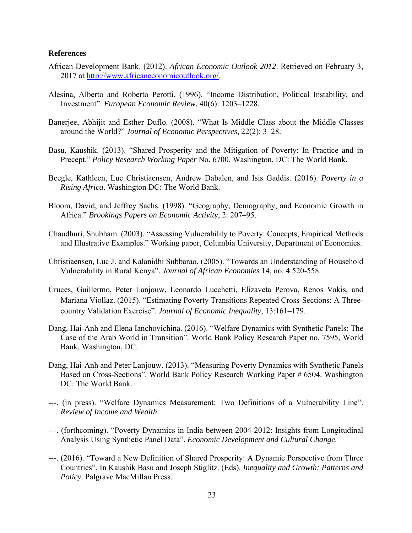#### **References**

- African Development Bank. (2012). *African Economic Outlook 2012*. Retrieved on February 3, 2017 at http://www.africaneconomicoutlook.org/.
- Alesina, Alberto and Roberto Perotti. (1996). "Income Distribution, Political Instability, and Investment". *European Economic Review*, 40(6): 1203–1228.
- Banerjee, Abhijit and Esther Duflo. (2008). "What Is Middle Class about the Middle Classes around the World?" *Journal of Economic Perspectives*, 22(2): 3–28.
- Basu, Kaushik. (2013). "Shared Prosperity and the Mitigation of Poverty: In Practice and in Precept." *Policy Research Working Paper* No. 6700. Washington, DC: The World Bank.
- Beegle, Kathleen, Luc Christiaensen, Andrew Dabalen, and Isis Gaddis. (2016). *Poverty in a Rising Africa*. Washington DC: The World Bank.
- Bloom, David, and Jeffrey Sachs. (1998). "Geography, Demography, and Economic Growth in Africa." *Brookings Papers on Economic Activity*, 2: 207–95.
- Chaudhuri, Shubham. (2003). "Assessing Vulnerability to Poverty: Concepts, Empirical Methods and Illustrative Examples." Working paper, Columbia University, Department of Economics.
- Christiaensen, Luc J. and Kalanidhi Subbarao. (2005). "Towards an Understanding of Household Vulnerability in Rural Kenya". *Journal of African Economies* 14, no. 4:520-558.
- Cruces, Guillermo, Peter Lanjouw, Leonardo Lucchetti, Elizaveta Perova, Renos Vakis, and Mariana Viollaz. (2015). "Estimating Poverty Transitions Repeated Cross-Sections: A Threecountry Validation Exercise". *Journal of Economic Inequality*, 13:161–179.
- Dang, Hai-Anh and Elena Ianchovichina. (2016). "Welfare Dynamics with Synthetic Panels: The Case of the Arab World in Transition". World Bank Policy Research Paper no. 7595, World Bank, Washington, DC.
- Dang, Hai-Anh and Peter Lanjouw. (2013). "Measuring Poverty Dynamics with Synthetic Panels Based on Cross-Sections". World Bank Policy Research Working Paper # 6504. Washington DC: The World Bank.
- ---. (in press). "Welfare Dynamics Measurement: Two Definitions of a Vulnerability Line". *Review of Income and Wealth*.
- ---. (forthcoming). "Poverty Dynamics in India between 2004-2012: Insights from Longitudinal Analysis Using Synthetic Panel Data". *Economic Development and Cultural Change*.
- ---. (2016). "Toward a New Definition of Shared Prosperity: A Dynamic Perspective from Three Countries". In Kaushik Basu and Joseph Stiglitz. (Eds). *Inequality and Growth: Patterns and Policy*. Palgrave MacMillan Press.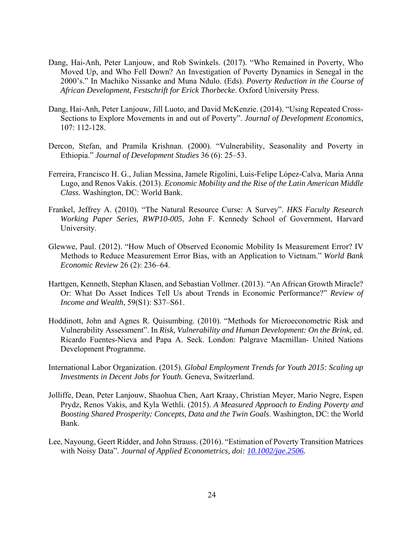- Dang, Hai-Anh, Peter Lanjouw, and Rob Swinkels. (2017). "Who Remained in Poverty, Who Moved Up, and Who Fell Down? An Investigation of Poverty Dynamics in Senegal in the 2000's." In Machiko Nissanke and Muna Ndulo. (Eds). *Poverty Reduction in the Course of African Development, Festschrift for Erick Thorbecke*. Oxford University Press.
- Dang, Hai-Anh, Peter Lanjouw, Jill Luoto, and David McKenzie. (2014). "Using Repeated Cross-Sections to Explore Movements in and out of Poverty". *Journal of Development Economics,*  107: 112-128.
- Dercon, Stefan, and Pramila Krishnan. (2000). "Vulnerability, Seasonality and Poverty in Ethiopia." *Journal of Development Studies* 36 (6): 25–53.
- Ferreira, Francisco H. G., Julian Messina, Jamele Rigolini, Luis-Felipe López-Calva, Maria Anna Lugo, and Renos Vakis. (2013). *Economic Mobility and the Rise of the Latin American Middle Class.* Washington, DC: World Bank.
- Frankel, Jeffrey A. (2010). "The Natural Resource Curse: A Survey". *HKS Faculty Research Working Paper Series, RWP10-005*, John F. Kennedy School of Government, Harvard University.
- Glewwe, Paul. (2012). "How Much of Observed Economic Mobility Is Measurement Error? IV Methods to Reduce Measurement Error Bias, with an Application to Vietnam." *World Bank Economic Review* 26 (2): 236–64.
- Harttgen, Kenneth, Stephan Klasen, and Sebastian Vollmer. (2013). "An African Growth Miracle? Or: What Do Asset Indices Tell Us about Trends in Economic Performance?" *Review of Income and Wealth*, 59(S1): S37–S61.
- Hoddinott, John and Agnes R. Quisumbing. (2010). "Methods for Microeconometric Risk and Vulnerability Assessment". In *Risk, Vulnerability and Human Development: On the Brink*, ed. Ricardo Fuentes-Nieva and Papa A. Seck. London: Palgrave Macmillan- United Nations Development Programme.
- International Labor Organization. (2015). *Global Employment Trends for Youth 2015: Scaling up Investments in Decent Jobs for Youth.* Geneva, Switzerland.
- Jolliffe, Dean, Peter Lanjouw, Shaohua Chen, Aart Kraay, Christian Meyer, Mario Negre, Espen Prydz, Renos Vakis, and Kyla Wethli. (2015). *A Measured Approach to Ending Poverty and Boosting Shared Prosperity: Concepts, Data and the Twin Goals*. Washington, DC: the World Bank.
- Lee, Nayoung, Geert Ridder, and John Strauss. (2016). "Estimation of Poverty Transition Matrices with Noisy Data". *Journal of Applied Econometrics, doi: 10.1002/jae.2506.*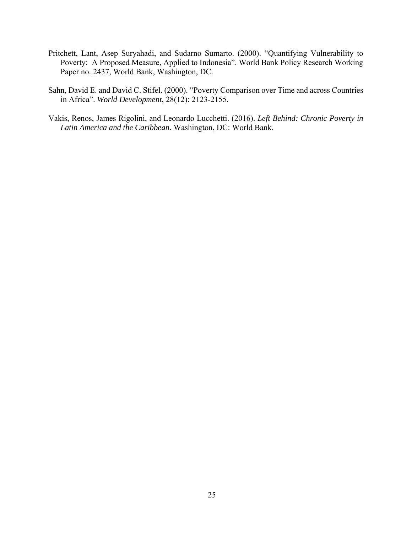- Pritchett, Lant, Asep Suryahadi, and Sudarno Sumarto. (2000). "Quantifying Vulnerability to Poverty: A Proposed Measure, Applied to Indonesia". World Bank Policy Research Working Paper no. 2437, World Bank, Washington, DC.
- Sahn, David E. and David C. Stifel. (2000). "Poverty Comparison over Time and across Countries in Africa". *World Development*, 28(12): 2123-2155.
- Vakis, Renos, James Rigolini, and Leonardo Lucchetti. (2016). *Left Behind: Chronic Poverty in Latin America and the Caribbean*. Washington, DC: World Bank.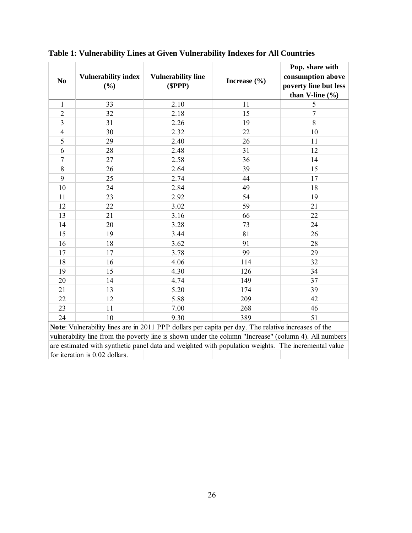| N <sub>0</sub> | <b>Vulnerability index</b><br>(%)                                                                   | <b>Vulnerability line</b><br>(SPPP) | Increase $(\% )$                                                              | Pop. share with<br>consumption above<br>poverty line but less<br>than V-line (%) |
|----------------|-----------------------------------------------------------------------------------------------------|-------------------------------------|-------------------------------------------------------------------------------|----------------------------------------------------------------------------------|
| $\mathbf{1}$   | 33                                                                                                  | 2.10                                | 11                                                                            | 5                                                                                |
| $\overline{2}$ | 32                                                                                                  | 2.18                                | 15                                                                            | $\overline{7}$                                                                   |
| 3              | 31                                                                                                  | 2.26                                | 19                                                                            | 8                                                                                |
| $\overline{4}$ | 30                                                                                                  | 2.32                                | 22                                                                            | 10                                                                               |
| 5              | 29                                                                                                  | 2.40                                | 26                                                                            | 11                                                                               |
| 6              | 28                                                                                                  | 2.48                                | 31                                                                            | 12                                                                               |
| $\overline{7}$ | 27                                                                                                  | 2.58                                | 36                                                                            | 14                                                                               |
| 8              | 26                                                                                                  | 2.64                                | 39                                                                            | 15                                                                               |
| 9              | 25                                                                                                  | 2.74                                | 44                                                                            | 17                                                                               |
| 10             | 24                                                                                                  | 2.84                                | 49                                                                            | 18                                                                               |
| 11             | 23                                                                                                  | 2.92                                | 54                                                                            | 19                                                                               |
| 12             | 22                                                                                                  | 3.02                                | 59                                                                            | 21                                                                               |
| 13             | 21                                                                                                  | 3.16                                | 66                                                                            | 22                                                                               |
| 14             | 20                                                                                                  | 3.28                                | 73                                                                            | 24                                                                               |
| 15             | 19                                                                                                  | 3.44                                | 81                                                                            | 26                                                                               |
| 16             | 18                                                                                                  | 3.62                                | 91                                                                            | 28                                                                               |
| 17             | 17                                                                                                  | 3.78                                | 99                                                                            | 29                                                                               |
| 18             | 16                                                                                                  | 4.06                                | 114                                                                           | 32                                                                               |
| 19             | 15                                                                                                  | 4.30                                | 126                                                                           | 34                                                                               |
| 20             | 14                                                                                                  | 4.74                                | 149                                                                           | 37                                                                               |
| 21             | 13                                                                                                  | 5.20                                | 174                                                                           | 39                                                                               |
| 22             | 12                                                                                                  | 5.88                                | 209                                                                           | 42                                                                               |
| 23             | 11                                                                                                  | 7.00                                | 268                                                                           | 46                                                                               |
| 24             | 10                                                                                                  | 9.30                                | 389                                                                           | 51                                                                               |
|                | Note: Vulnerability lines are in 2011 PPP dollars per capita per day. The relative increases of the |                                     |                                                                               |                                                                                  |
|                | $1.211 \t 11.01 \t 12.01$                                                                           |                                     | $\mathbf{1}$ $\mathbf{1}$ $\mathbf{1}$ $\mathbf{1}$ $\mathbf{1}$ $\mathbf{1}$ | $\mathbf{u}$ $\mathbf{u}$                                                        |

**Table 1: Vulnerability Lines at Given Vulnerability Indexes for All Countries** 

vulnerability line from the poverty line is shown under the column "Increase" (column 4). All numbers are estimated with synthetic panel data and weighted with population weights. The incremental value for iteration is 0.02 dollars.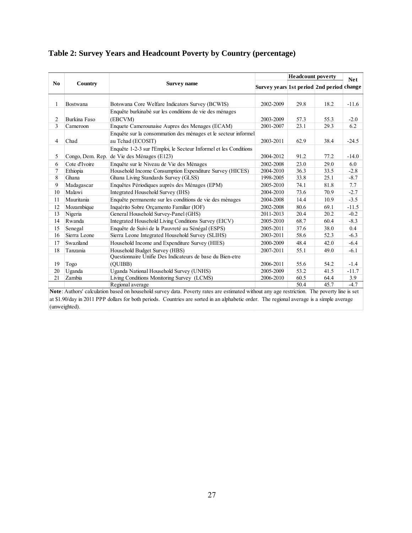|                |                  |                                                                                     |                                           | <b>Headcount poverty</b> |      | <b>Net</b> |
|----------------|------------------|-------------------------------------------------------------------------------------|-------------------------------------------|--------------------------|------|------------|
| N <sub>0</sub> | Country          | Survey name                                                                         | Survey years 1st period 2nd period change |                          |      |            |
| 1              | Bostwana         | Botswana Core Welfare Indicators Survey (BCWIS)                                     | 2002-2009                                 | 29.8                     | 18.2 | $-11.6$    |
| 2              | Burkina Faso     | Enquête burkinabé sur les conditions de vie des ménages<br>(EBCVM)                  | 2003-2009                                 | 57.3                     | 55.3 | $-2.0$     |
| 3              | Cameroon         | Enquete Camerounaise Aupres des Menages (ECAM)                                      | 2001-2007                                 | 23.1                     | 29.3 | 6.2        |
| $\overline{4}$ | Chad             | Enquête sur la consommation des ménages et le secteur informel<br>au Tchad (ECOSIT) | 2003-2011                                 | 62.9                     | 38.4 | $-24.5$    |
|                |                  | Enquête 1-2-3 sur l'Emploi, le Secteur Informel et les Conditions                   |                                           |                          |      |            |
| 5              | Congo, Dem. Rep. | de Vie des Ménages (E123)                                                           | 2004-2012                                 | 91.2                     | 77.2 | $-14.0$    |
| 6              | Cote d'Ivoire    | Enquête sur le Niveau de Vie des Ménages                                            | 2002-2008                                 | 23.0                     | 29.0 | 6.0        |
| 7              | Ethiopia         | Household Income Consumption Expenditure Survey (HICES)                             | 2004-2010                                 | 36.3                     | 33.5 | $-2.8$     |
| 8              | Ghana            | Ghana Living Standards Survey (GLSS)                                                | 1998-2005                                 | 33.8                     | 25.1 | $-8.7$     |
| 9              | Madagascar       | Enquêtes Périodiques auprès des Ménages (EPM)                                       | 2005-2010                                 | 74.1                     | 81.8 | 7.7        |
| 10             | Malawi           | Integrated Household Survey (IHS)                                                   | 2004-2010                                 | 73.6                     | 70.9 | $-2.7$     |
| 11             | Mauritania       | Enquête permanente sur les conditions de vie des ménages                            | 2004-2008                                 | 14.4                     | 10.9 | $-3.5$     |
| 12             | Mozambique       | Inquérito Sobre Orçamento Familiar (IOF)                                            | 2002-2008                                 | 80.6                     | 69.1 | $-11.5$    |
| 13             | Nigeria          | General Household Survey-Panel (GHS)                                                | 2011-2013                                 | 20.4                     | 20.2 | $-0.2$     |
| 14             | Rwanda           | Integrated Household Living Conditions Survey (EICV)                                | 2005-2010                                 | 68.7                     | 60.4 | $-8.3$     |
| 15             | Senegal          | Enquête de Suivi de la Pauvreté au Sénégal (ESPS)                                   | 2005-2011                                 | 37.6                     | 38.0 | 0.4        |
| 16             | Sierra Leone     | Sierra Leone Integrated Household Survey (SLIHS)                                    | 2003-2011                                 | 58.6                     | 52.3 | $-6.3$     |
| 17             | Swaziland        | Household Income and Expenditure Survey (HIES)                                      | 2000-2009                                 | 48.4                     | 42.0 | $-6.4$     |
| 18             | Tanzania         | Household Budget Survey (HBS)                                                       | 2007-2011                                 | 55.1                     | 49.0 | $-6.1$     |
|                |                  | Questionnaire Unifie Des Indicateurs de base du Bien-etre                           |                                           |                          |      |            |
| 19             | Togo             | (OUIBB)                                                                             | 2006-2011                                 | 55.6                     | 54.2 | $-1.4$     |
| 20             | Uganda           | Uganda National Household Survey (UNHS)                                             | 2005-2009                                 | 53.2                     | 41.5 | $-11.7$    |
| 21             | Zambia           | Living Conditions Monitoring Survey (LCMS)                                          | 2006-2010                                 | 60.5                     | 64.4 | 3.9        |
|                |                  | Regional average                                                                    |                                           | 50.4                     | 45.7 | $-4.7$     |

# **Table 2: Survey Years and Headcount Poverty by Country (percentage)**

**Note**: Authors' calculation based on household survey data. Poverty rates are estimated without any age restriction. The poverty line is set at \$1.90/day in 2011 PPP dollars for both periods. Countries are sorted in an alphabetic order. The regional average is a simple average (unweighted).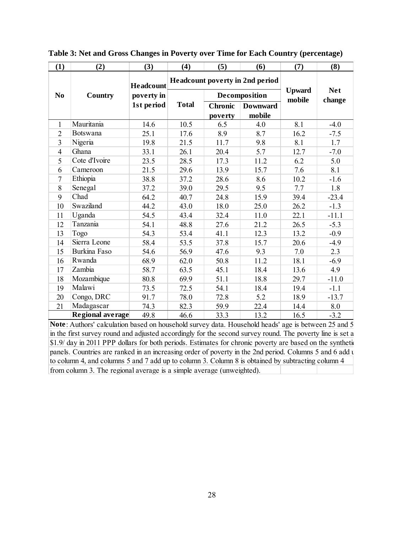| (1)            | (2)              | (3)        | (4)          | (5)                             | (6)             | (7)           | (8)        |
|----------------|------------------|------------|--------------|---------------------------------|-----------------|---------------|------------|
|                |                  | Headcount  |              | Headcount poverty in 2nd period |                 |               |            |
| N <sub>0</sub> | Country          | poverty in |              |                                 | Decomposition   | <b>Upward</b> | <b>Net</b> |
|                |                  | 1st period | <b>Total</b> | <b>Chronic</b>                  | <b>Downward</b> | mobile        | change     |
|                |                  |            |              | poverty                         | mobile          |               |            |
| 1              | Mauritania       | 14.6       | 10.5         | 6.5                             | 4.0             | 8.1           | $-4.0$     |
| $\overline{2}$ | <b>Botswana</b>  | 25.1       | 17.6         | 8.9                             | 8.7             | 16.2          | $-7.5$     |
| 3              | Nigeria          | 19.8       | 21.5         | 11.7                            | 9.8             | 8.1           | 1.7        |
| $\overline{4}$ | Ghana            | 33.1       | 26.1         | 20.4                            | 5.7             | 12.7          | $-7.0$     |
| 5              | Cote d'Ivoire    | 23.5       | 28.5         | 17.3                            | 11.2            | 6.2           | 5.0        |
| 6              | Cameroon         | 21.5       | 29.6         | 13.9                            | 15.7            | 7.6           | 8.1        |
| 7              | Ethiopia         | 38.8       | 37.2         | 28.6                            | 8.6             | 10.2          | $-1.6$     |
| 8              | Senegal          | 37.2       | 39.0         | 29.5                            | 9.5             | 7.7           | 1.8        |
| 9              | Chad             | 64.2       | 40.7         | 24.8                            | 15.9            | 39.4          | $-23.4$    |
| 10             | Swaziland        | 44.2       | 43.0         | 18.0                            | 25.0            | 26.2          | $-1.3$     |
| 11             | Uganda           | 54.5       | 43.4         | 32.4                            | 11.0            | 22.1          | $-11.1$    |
| 12             | Tanzania         | 54.1       | 48.8         | 27.6                            | 21.2            | 26.5          | $-5.3$     |
| 13             | Togo             | 54.3       | 53.4         | 41.1                            | 12.3            | 13.2          | $-0.9$     |
| 14             | Sierra Leone     | 58.4       | 53.5         | 37.8                            | 15.7            | 20.6          | $-4.9$     |
| 15             | Burkina Faso     | 54.6       | 56.9         | 47.6                            | 9.3             | 7.0           | 2.3        |
| 16             | Rwanda           | 68.9       | 62.0         | 50.8                            | 11.2            | 18.1          | $-6.9$     |
| 17             | Zambia           | 58.7       | 63.5         | 45.1                            | 18.4            | 13.6          | 4.9        |
| 18             | Mozambique       | 80.8       | 69.9         | 51.1                            | 18.8            | 29.7          | $-11.0$    |
| 19             | Malawi           | 73.5       | 72.5         | 54.1                            | 18.4            | 19.4          | $-1.1$     |
| 20             | Congo, DRC       | 91.7       | 78.0         | 72.8                            | 5.2             | 18.9          | $-13.7$    |
| 21             | Madagascar       | 74.3       | 82.3         | 59.9                            | 22.4            | 14.4          | 8.0        |
|                | Regional average | 49.8       | 46.6         | 33.3                            | 13.2            | 16.5          | $-3.2$     |

**Table 3: Net and Gross Changes in Poverty over Time for Each Country (percentage)** 

**Note**: Authors' calculation based on household survey data. Household heads' age is between 25 and 5 in the first survey round and adjusted accordingly for the second survey round. The poverty line is set a \$1.9/ day in 2011 PPP dollars for both periods. Estimates for chronic poverty are based on the synthetic panels. Countries are ranked in an increasing order of poverty in the 2nd period. Columns 5 and 6 add u to column 4, and columns 5 and 7 add up to column 3. Column 8 is obtained by subtracting column 4 from column 3. The regional average is a simple average (unweighted).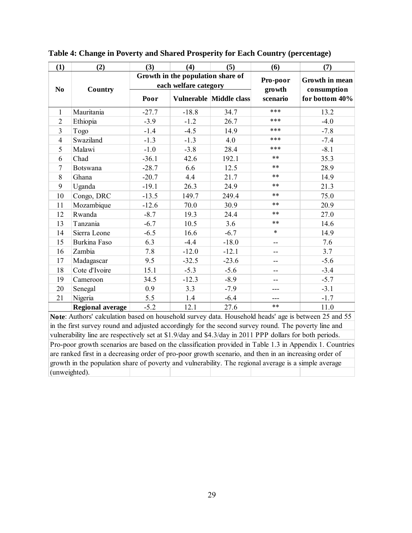| (1)            | (2)                                                                                                                             | (3)     | (4)                                                        | (5)                            | (6)                | (7)                           |
|----------------|---------------------------------------------------------------------------------------------------------------------------------|---------|------------------------------------------------------------|--------------------------------|--------------------|-------------------------------|
| N <sub>0</sub> | Country                                                                                                                         |         | Growth in the population share of<br>each welfare category |                                | Pro-poor<br>growth | Growth in mean<br>consumption |
|                |                                                                                                                                 | Poor    |                                                            | <b>Vulnerable Middle class</b> | scenario           | for bottom 40%                |
| $\mathbf{1}$   | Mauritania                                                                                                                      | $-27.7$ | $-18.8$                                                    | 34.7                           | ***                | 13.2                          |
| $\overline{2}$ | Ethiopia                                                                                                                        | $-3.9$  | $-1.2$                                                     | 26.7                           | ***                | $-4.0$                        |
| 3              | Togo                                                                                                                            | $-1.4$  | $-4.5$                                                     | 14.9                           | ***                | $-7.8$                        |
| $\overline{4}$ | Swaziland                                                                                                                       | $-1.3$  | $-1.3$                                                     | 4.0                            | ***                | $-7.4$                        |
| 5              | Malawi                                                                                                                          | $-1.0$  | $-3.8$                                                     | 28.4                           | ***                | $-8.1$                        |
| 6              | Chad                                                                                                                            | $-36.1$ | 42.6                                                       | 192.1                          | $***$              | 35.3                          |
| 7              | <b>Botswana</b>                                                                                                                 | $-28.7$ | 6.6                                                        | 12.5                           | $***$              | 28.9                          |
| 8              | Ghana                                                                                                                           | $-20.7$ | 4.4                                                        | 21.7                           | $***$              | 14.9                          |
| 9              | Uganda                                                                                                                          | $-19.1$ | 26.3                                                       | 24.9                           | **                 | 21.3                          |
| 10             | Congo, DRC                                                                                                                      | $-13.5$ | 149.7                                                      | 249.4                          | $***$              | 75.0                          |
| 11             | Mozambique                                                                                                                      | $-12.6$ | 70.0                                                       | 30.9                           | $***$              | 20.9                          |
| 12             | Rwanda                                                                                                                          | $-8.7$  | 19.3                                                       | 24.4                           | $***$              | 27.0                          |
| 13             | Tanzania                                                                                                                        | $-6.7$  | 10.5                                                       | 3.6                            | $***$              | 14.6                          |
| 14             | Sierra Leone                                                                                                                    | $-6.5$  | 16.6                                                       | $-6.7$                         | $\ast$             | 14.9                          |
| 15             | Burkina Faso                                                                                                                    | 6.3     | $-4.4$                                                     | $-18.0$                        | --                 | 7.6                           |
| 16             | Zambia                                                                                                                          | 7.8     | $-12.0$                                                    | $-12.1$                        | $-$                | 3.7                           |
| 17             | Madagascar                                                                                                                      | 9.5     | $-32.5$                                                    | $-23.6$                        | $- -$              | $-5.6$                        |
| 18             | Cote d'Ivoire                                                                                                                   | 15.1    | $-5.3$                                                     | $-5.6$                         | --                 | $-3.4$                        |
| 19             | Cameroon                                                                                                                        | 34.5    | $-12.3$                                                    | $-8.9$                         | --                 | $-5.7$                        |
| 20             | Senegal                                                                                                                         | 0.9     | 3.3                                                        | $-7.9$                         |                    | $-3.1$                        |
| 21             | Nigeria                                                                                                                         | 5.5     | 1.4                                                        | $-6.4$                         | ---                | $-1.7$                        |
|                | <b>Regional average</b><br>Note: Authors' calculation based on household survey data. Household heads' age is between 25 and 55 | $-5.2$  | 12.1                                                       | 27.6                           | $***$              | 11.0                          |

**Table 4: Change in Poverty and Shared Prosperity for Each Country (percentage)** 

**Note**: Authors' calculation based on household survey data. Household heads' age is between 25 and 55 in the first survey round and adjusted accordingly for the second survey round. The poverty line and vulnerability line are respectively set at \$1.9/day and \$4.3/day in 2011 PPP dollars for both periods. Pro-poor growth scenarios are based on the classification provided in Table 1.3 in Appendix 1. Countries are ranked first in a decreasing order of pro-poor growth scenario, and then in an increasing order of growth in the population share of poverty and vulnerability. The regional average is a simple average (unweighted).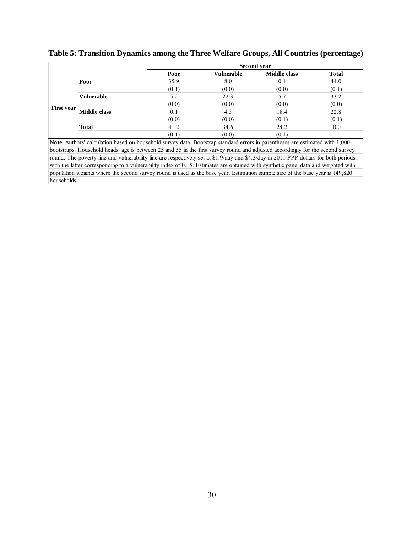|                   |                     |                                                                                                                                |                   | Second year         |       |
|-------------------|---------------------|--------------------------------------------------------------------------------------------------------------------------------|-------------------|---------------------|-------|
|                   |                     | Poor                                                                                                                           | <b>Vulnerable</b> | <b>Middle class</b> | Total |
|                   | Poor                | 35.9                                                                                                                           | 8.0               | 0.1                 | 44.0  |
|                   |                     | (0.1)                                                                                                                          | (0.0)             | (0.0)               | (0.1) |
|                   | <b>Vulnerable</b>   | 5.2                                                                                                                            | 22.3              | 5.7                 | 33.2  |
|                   |                     | (0.0)                                                                                                                          | (0.0)             | (0.0)               | (0.0) |
| <b>First year</b> | <b>Middle class</b> | 0.1                                                                                                                            | 4.3               | 18.4                | 22.8  |
|                   |                     | (0.0)                                                                                                                          | (0.0)             | (0.1)               | (0.1) |
|                   | Total               | 41.2                                                                                                                           | 34.6              | 24.2                | 100   |
|                   |                     | (0.1)                                                                                                                          | (0.0)             | (0.1)               |       |
|                   |                     | Note: Authors' calculation based on household survey data. Bootstrap standard errors in parentheses are estimated with 1,000   |                   |                     |       |
|                   |                     | bootstraps. Household heads' age is between 25 and 55 in the first survey round and adjusted accordingly for the second survey |                   |                     |       |

**Table 5: Transition Dynamics among the Three Welfare Groups, All Countries (percentage)** 

bootstraps. Household heads' age is between 25 and 55 in the first survey round and adjusted accordingly for the second survey round. The poverty line and vulnerability line are respectively set at \$1.9/day and \$4.3/day in 2011 PPP dollars for both periods, with the latter corresponding to a vulnerability index of 0.15. Estimates are obtained with synthetic panel data and weighted with population weights where the second survey round is used as the base year. Estimation sample size of the base year is 149,820 households.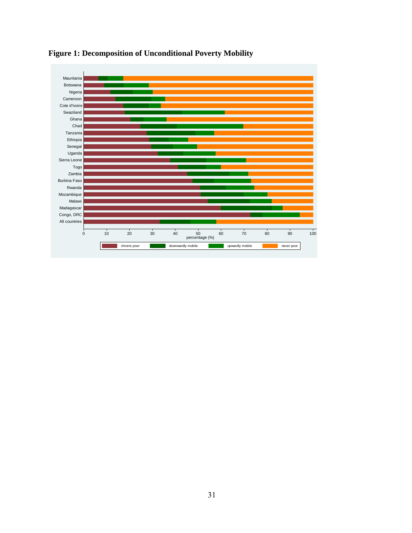

# **Figure 1: Decomposition of Unconditional Poverty Mobility**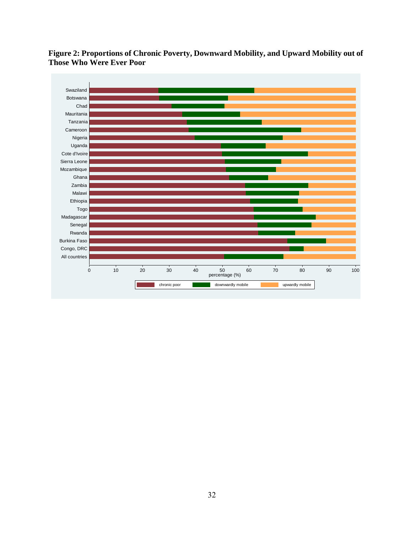

**Figure 2: Proportions of Chronic Poverty, Downward Mobility, and Upward Mobility out of Those Who Were Ever Poor**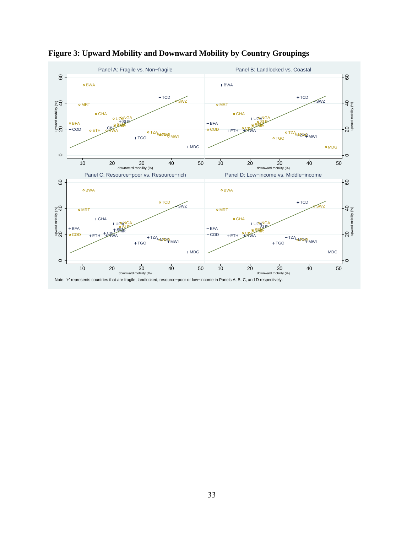

**Figure 3: Upward Mobility and Downward Mobility by Country Groupings**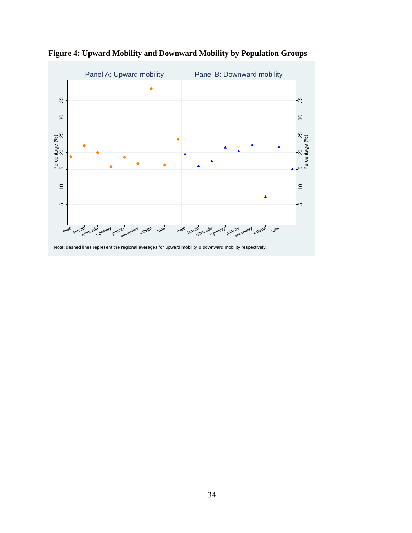

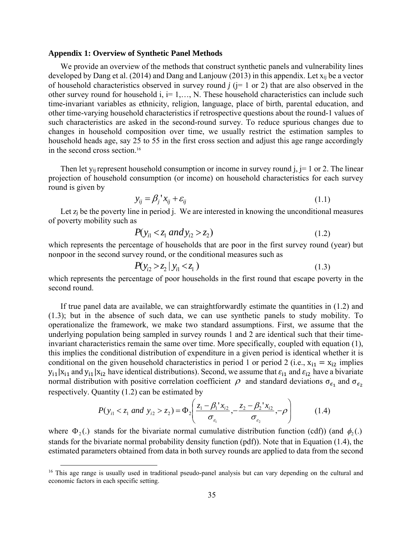#### **Appendix 1: Overview of Synthetic Panel Methods**

We provide an overview of the methods that construct synthetic panels and vulnerability lines developed by Dang et al. (2014) and Dang and Lanjouw (2013) in this appendix. Let xij be a vector of household characteristics observed in survey round  $j$  ( $j = 1$  or 2) that are also observed in the other survey round for household  $i, i=1,..., N$ . These household characteristics can include such time-invariant variables as ethnicity, religion, language, place of birth, parental education, and other time-varying household characteristics if retrospective questions about the round-1 values of such characteristics are asked in the second-round survey. To reduce spurious changes due to changes in household composition over time, we usually restrict the estimation samples to household heads age, say 25 to 55 in the first cross section and adjust this age range accordingly in the second cross section.16

Then let y<sub>ij</sub> represent household consumption or income in survey round  $j, j=1$  or 2. The linear projection of household consumption (or income) on household characteristics for each survey round is given by

$$
y_{ij} = \beta_j' x_{ij} + \varepsilon_{ij}
$$
 (1.1)

Let  $z_i$  be the poverty line in period j. We are interested in knowing the unconditional measures of poverty mobility such as

$$
P(y_{i1} < z_1 \text{ and } y_{i2} > z_2) \tag{1.2}
$$

which represents the percentage of households that are poor in the first survey round (year) but nonpoor in the second survey round, or the conditional measures such as

$$
P(y_{i2} > z_2 | y_{i1} < z_1)
$$
\n(1.3)

which represents the percentage of poor households in the first round that escape poverty in the second round.

If true panel data are available, we can straightforwardly estimate the quantities in (1.2) and (1.3); but in the absence of such data, we can use synthetic panels to study mobility. To operationalize the framework, we make two standard assumptions. First, we assume that the underlying population being sampled in survey rounds 1 and 2 are identical such that their timeinvariant characteristics remain the same over time. More specifically, coupled with equation (1), this implies the conditional distribution of expenditure in a given period is identical whether it is conditional on the given household characteristics in period 1 or period 2 (i.e.,  $x_{i1} = x_{i2}$  implies  $y_{i1}|x_{i1}$  and  $y_{i1}|x_{i2}$  have identical distributions). Second, we assume that  $\varepsilon_{i1}$  and  $\varepsilon_{i2}$  have a bivariate normal distribution with positive correlation coefficient  $\rho$  and standard deviations σ<sub>ε</sub>, and σ<sub>ε</sub>, respectively. Quantity (1.2) can be estimated by

$$
P(y_{i1} < z_1 \text{ and } y_{i2} > z_2) = \Phi_2 \left( \frac{z_1 - \beta_1 x_{i2}}{\sigma_{\varepsilon_1}}, -\frac{z_2 - \beta_2 x_{i2}}{\sigma_{\varepsilon_2}}, -\rho \right) \tag{1.4}
$$

where  $\Phi_2$ .) stands for the bivariate normal cumulative distribution function (cdf)) (and  $\phi_2$ .) stands for the bivariate normal probability density function (pdf)). Note that in Equation (1.4), the estimated parameters obtained from data in both survey rounds are applied to data from the second

<sup>&</sup>lt;sup>16</sup> This age range is usually used in traditional pseudo-panel analysis but can vary depending on the cultural and economic factors in each specific setting.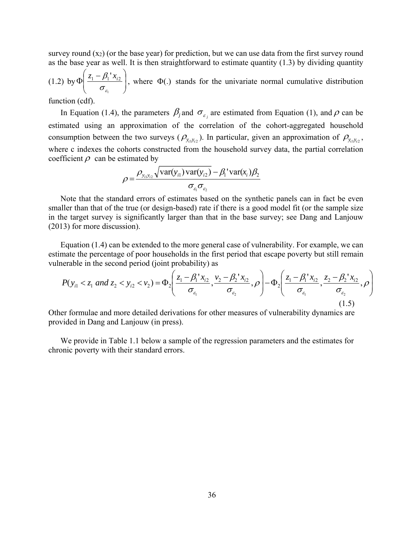survey round  $(x_2)$  (or the base year) for prediction, but we can use data from the first survey round as the base year as well. It is then straightforward to estimate quantity (1.3) by dividing quantity

 $(1.2)$  by  $\Phi\left[\frac{z_1 - \rho_1 x_{i2}}{\sigma}\right]$  $\bigg)$  $\backslash$  $\mathsf{I}$  $\mathbf{I}$  $\setminus$  $\Phi\left(\frac{z_1-}{z_2-}\right)$ 1  $1 - \beta_1' x_{i2}$  $\sigma_{_\varepsilon}$  $z_1 - \beta_1 x_{i2}$ , where  $\Phi(.)$  stands for the univariate normal cumulative distribution

function (cdf).

In Equation (1.4), the parameters  $\beta_j$  and  $\sigma_{\varepsilon_j}$  are estimated from Equation (1), and  $\rho$  can be estimated using an approximation of the correlation of the cohort-aggregated household consumption between the two surveys ( $\rho_{y_c y_{c2}}$ ). In particular, given an approximation of  $\rho_{y_c y_{c2}}$ , where c indexes the cohorts constructed from the household survey data, the partial correlation coefficient  $\rho$  can be estimated by

$$
\rho = \frac{\rho_{y_{i1}y_{i2}}\sqrt{\text{var}(y_{i1})\text{var}(y_{i2}) - \beta_1 \text{var}(x_i)\beta_2}}{\sigma_{\varepsilon_1}\sigma_{\varepsilon_2}}
$$

Note that the standard errors of estimates based on the synthetic panels can in fact be even smaller than that of the true (or design-based) rate if there is a good model fit (or the sample size in the target survey is significantly larger than that in the base survey; see Dang and Lanjouw (2013) for more discussion).

Equation (1.4) can be extended to the more general case of vulnerability. For example, we can estimate the percentage of poor households in the first period that escape poverty but still remain vulnerable in the second period (joint probability) as

$$
P(y_{i1} < z_1 \text{ and } z_2 < y_{i2} < v_2) = \Phi_2 \left( \frac{z_1 - \beta_1 x_{i2}}{\sigma_{\varepsilon_1}}, \frac{v_2 - \beta_2 x_{i2}}{\sigma_{\varepsilon_2}}, \rho \right) - \Phi_2 \left( \frac{z_1 - \beta_1 x_{i2}}{\sigma_{\varepsilon_1}}, \frac{z_2 - \beta_2 x_{i2}}{\sigma_{\varepsilon_2}}, \rho \right) \tag{1.5}
$$

Other formulae and more detailed derivations for other measures of vulnerability dynamics are provided in Dang and Lanjouw (in press).

We provide in Table 1.1 below a sample of the regression parameters and the estimates for chronic poverty with their standard errors.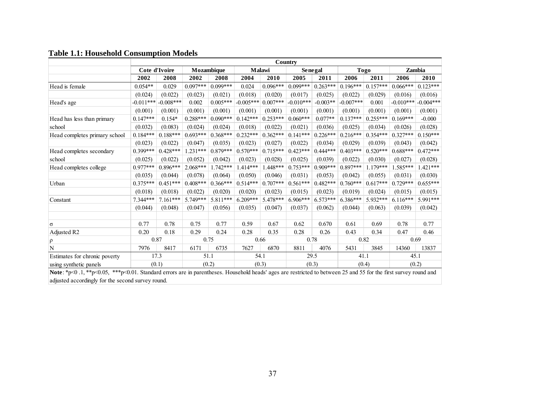|                                                                                                                                                                 | Country     |               |            |            |             |                   |             |            |             |            |             |             |
|-----------------------------------------------------------------------------------------------------------------------------------------------------------------|-------------|---------------|------------|------------|-------------|-------------------|-------------|------------|-------------|------------|-------------|-------------|
|                                                                                                                                                                 |             | Cote d'Ivoire | Mozambique |            |             | Malawi<br>Senegal |             |            | <b>Togo</b> |            | Zambia      |             |
|                                                                                                                                                                 | 2002        | 2008          | 2002       | 2008       | 2004        | 2010              | 2005        | 2011       | 2006        | 2011       | 2006        | 2010        |
| Head is female                                                                                                                                                  | $0.054**$   | 0.029         | $0.097***$ | $0.099***$ | 0.024       | $0.096***$        | $0.099***$  | $0.263***$ | $0.196***$  | $0.157***$ | $0.066***$  | $0.123***$  |
|                                                                                                                                                                 | (0.024)     | (0.022)       | (0.023)    | (0.021)    | (0.018)     | (0.020)           | (0.017)     | (0.025)    | (0.022)     | (0.029)    | (0.016)     | (0.016)     |
| Head's age                                                                                                                                                      | $-0.011***$ | $-0.008***$   | 0.002      | $0.005***$ | $-0.005***$ | $0.007***$        | $-0.010***$ | $-0.003**$ | $-0.007***$ | 0.001      | $-0.010***$ | $-0.004***$ |
|                                                                                                                                                                 | (0.001)     | (0.001)       | (0.001)    | (0.001)    | (0.001)     | (0.001)           | (0.001)     | (0.001)    | (0.001)     | (0.001)    | (0.001)     | (0.001)     |
| Head has less than primary                                                                                                                                      | $0.147***$  | $0.154*$      | $0.288***$ | $0.090***$ | $0.142***$  | $0.253***$        | $0.060***$  | $0.077**$  | $0.137***$  | $0.255***$ | $0.169***$  | $-0.000$    |
| school                                                                                                                                                          | (0.032)     | (0.083)       | (0.024)    | (0.024)    | (0.018)     | (0.022)           | (0.021)     | (0.036)    | (0.025)     | (0.034)    | (0.026)     | (0.028)     |
| Head completes primary school                                                                                                                                   | $0.184***$  | $0.188***$    | $0.693***$ | $0.368***$ | $0.232***$  | $0.362***$        | $0.141***$  | $0.226***$ | $0.216***$  | $0.354***$ | $0.327***$  | $0.150***$  |
|                                                                                                                                                                 | (0.023)     | (0.022)       | (0.047)    | (0.035)    | (0.023)     | (0.027)           | (0.022)     | (0.034)    | (0.029)     | (0.039)    | (0.043)     | (0.042)     |
| Head completes secondary                                                                                                                                        | $0.399***$  | $0.428***$    | $1.231***$ | $0.879***$ | $0.570***$  | $0.715***$        | $0.423***$  | $0.444***$ | $0.403***$  | $0.520***$ | $0.688***$  | $0.472***$  |
| school                                                                                                                                                          | (0.025)     | (0.022)       | (0.052)    | (0.042)    | (0.023)     | (0.028)           | (0.025)     | (0.039)    | (0.022)     | (0.030)    | (0.027)     | (0.028)     |
| Head completes college                                                                                                                                          | $0.977***$  | $0.896***$    | $2.068***$ | $1.742***$ | $1.414***$  | $1.448***$        | $0.753***$  | $0.909***$ | $0.897***$  | $1.179***$ | $1.585***$  | $1.421***$  |
|                                                                                                                                                                 | (0.035)     | (0.044)       | (0.078)    | (0.064)    | (0.050)     | (0.046)           | (0.031)     | (0.053)    | (0.042)     | (0.055)    | (0.031)     | (0.030)     |
| Urban                                                                                                                                                           | $0.375***$  | $0.451***$    | $0.408***$ | $0.366***$ | $0.514***$  | $0.707***$        | $0.561***$  | $0.482***$ | $0.760***$  | $0.617***$ | $0.729***$  | $0.655***$  |
|                                                                                                                                                                 | (0.018)     | (0.018)       | (0.022)    | (0.020)    | (0.020)     | (0.023)           | (0.015)     | (0.023)    | (0.019)     | (0.024)    | (0.015)     | (0.015)     |
| Constant                                                                                                                                                        | 7.344***    | $7.161***$    | 5.749***   | $5.811***$ | $6.209***$  | $5.478***$        | $6.906***$  | $6.573***$ | $6.386***$  | 5.932***   | $6.116***$  | 5.991***    |
|                                                                                                                                                                 | (0.044)     | (0.048)       | (0.047)    | (0.056)    | (0.035)     | (0.047)           | (0.037)     | (0.062)    | (0.044)     | (0.063)    | (0.039)     | (0.042)     |
|                                                                                                                                                                 |             |               |            |            |             |                   |             |            |             |            |             |             |
| σ                                                                                                                                                               | 0.77        | 0.78          | 0.75       | 0.77       | 0.59        | 0.67              | 0.62        | 0.670      | 0.61        | 0.69       | 0.78        | 0.77        |
| Adjusted R2                                                                                                                                                     | 0.20        | 0.18          | 0.29       | 0.24       | 0.28        | 0.35              | 0.28        | 0.26       | 0.43        | 0.34       | 0.47        | 0.46        |
| $\rho$                                                                                                                                                          | 0.87        |               | 0.75       |            | 0.66        |                   | 0.78        |            | 0.82        |            | 0.69        |             |
| N                                                                                                                                                               | 7976        | 8417          | 6171       | 6735       | 7627        | 6870              | 8811        | 4076       | 5431        | 3845       | 14360       | 13837       |
| Estimates for chronic poverty                                                                                                                                   | 17.3        |               | 51.1       |            | 54.1        |                   | 29.5        |            | 41.1        |            | 45.1        |             |
| using synthetic panels                                                                                                                                          |             | (0.1)         | (0.2)      |            | (0.3)       |                   | (0.3)       |            | (0.4)       |            |             | (0.2)       |
| Note: *p<0.1, **p<0.05, ***p<0.01. Standard errors are in parentheses. Household heads' ages are restricted to between 25 and 55 for the first survey round and |             |               |            |            |             |                   |             |            |             |            |             |             |

# **Table 1.1: Household Consumption Models**

busehold heads' ages are restricted to between 25 and 55 for the first suradjusted accordingly for the second survey round.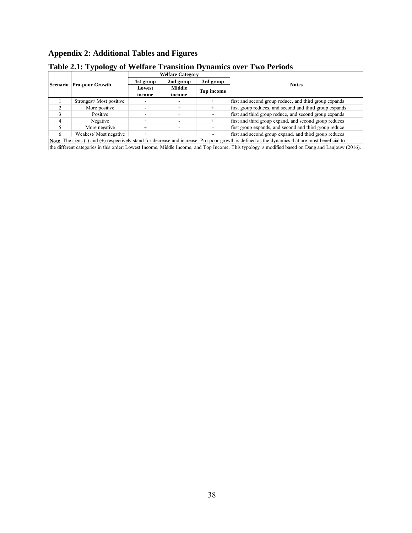# **Appendix 2: Additional Tables and Figures**

|                                                                                                                               |                          | <b>Welfare Category</b> |                  |            |                                                         |  |  |  |
|-------------------------------------------------------------------------------------------------------------------------------|--------------------------|-------------------------|------------------|------------|---------------------------------------------------------|--|--|--|
|                                                                                                                               | Scenario Pro-poor Growth | 1st group               | 2nd group        | 3rd group  | <b>Notes</b>                                            |  |  |  |
|                                                                                                                               |                          | Lowest<br>income        | Middle<br>income | Top income |                                                         |  |  |  |
|                                                                                                                               | Strongest/Most positive  |                         |                  |            | first and second group reduce, and third group expands  |  |  |  |
|                                                                                                                               | More positive            |                         |                  |            | first group reduces, and second and third group expands |  |  |  |
|                                                                                                                               | Positive                 |                         |                  |            | first and third group reduce, and second group expands  |  |  |  |
|                                                                                                                               | Negative                 |                         |                  |            | first and third group expand, and second group reduces  |  |  |  |
|                                                                                                                               | More negative            |                         |                  |            | first group expands, and second and third group reduce  |  |  |  |
|                                                                                                                               | Weakest/Most negative    |                         |                  |            | first and second group expand, and third group reduces  |  |  |  |
| March Philatics (Arach Jacob Holding Lead Control and Science Response and Science distribution of the control of the Cold Le |                          |                         |                  |            |                                                         |  |  |  |

# **Table 2.1: Typology of Welfare Transition Dynamics over Two Periods**

**Note**: The signs (-) and (+) respectively stand for decrease and increase. Pro-poor growth is defined as the dynamics that are most beneficial to the different categories in this order: Lowest Income, Middle Income, and Top Income. This typology is modified based on Dang and Lanjouw (2016).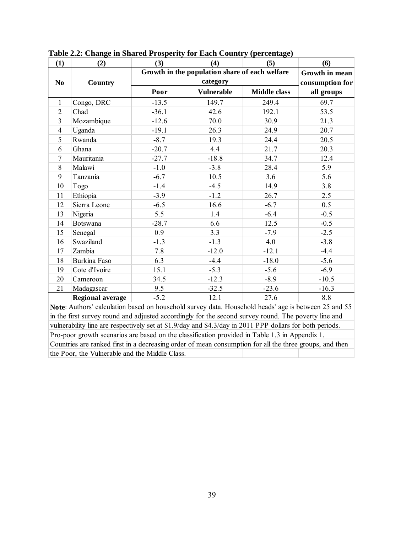| (1)            | (2)                                                                                                  | (3)     | (4)                                            | (5)                 | (6)        |  |  |  |
|----------------|------------------------------------------------------------------------------------------------------|---------|------------------------------------------------|---------------------|------------|--|--|--|
|                |                                                                                                      |         | Growth in the population share of each welfare |                     |            |  |  |  |
| N <sub>0</sub> | Country                                                                                              |         | consumption for                                |                     |            |  |  |  |
|                |                                                                                                      | Poor    | <b>Vulnerable</b>                              | <b>Middle class</b> | all groups |  |  |  |
| 1              | Congo, DRC                                                                                           | $-13.5$ | 149.7                                          | 249.4               | 69.7       |  |  |  |
| $\overline{2}$ | Chad                                                                                                 | $-36.1$ | 42.6                                           | 192.1               | 53.5       |  |  |  |
| 3              | Mozambique                                                                                           | $-12.6$ | 70.0                                           | 30.9                | 21.3       |  |  |  |
| $\overline{4}$ | Uganda                                                                                               | $-19.1$ | 26.3                                           | 24.9                | 20.7       |  |  |  |
| 5              | Rwanda                                                                                               | $-8.7$  | 19.3                                           | 24.4                | 20.5       |  |  |  |
| 6              | Ghana                                                                                                | $-20.7$ | 4.4                                            | 21.7                | 20.3       |  |  |  |
| $\tau$         | Mauritania                                                                                           | $-27.7$ | $-18.8$                                        | 34.7                | 12.4       |  |  |  |
| 8              | Malawi                                                                                               | $-1.0$  | $-3.8$                                         | 28.4                | 5.9        |  |  |  |
| 9              | Tanzania                                                                                             | $-6.7$  | 10.5                                           | 3.6                 | 5.6        |  |  |  |
| 10             | Togo                                                                                                 | $-1.4$  | $-4.5$                                         | 14.9                | 3.8        |  |  |  |
| 11             | Ethiopia                                                                                             | $-3.9$  | $-1.2$                                         | 26.7                | 2.5        |  |  |  |
| 12             | Sierra Leone                                                                                         | $-6.5$  | 16.6                                           | $-6.7$              | 0.5        |  |  |  |
| 13             | Nigeria                                                                                              | 5.5     | 1.4                                            | $-6.4$              | $-0.5$     |  |  |  |
| 14             | <b>Botswana</b>                                                                                      | $-28.7$ | 6.6                                            | 12.5                | $-0.5$     |  |  |  |
| 15             | Senegal                                                                                              | 0.9     | 3.3                                            | $-7.9$              | $-2.5$     |  |  |  |
| 16             | Swaziland                                                                                            | $-1.3$  | $-1.3$                                         | 4.0                 | $-3.8$     |  |  |  |
| 17             | Zambia                                                                                               | 7.8     | $-12.0$                                        | $-12.1$             | $-4.4$     |  |  |  |
| 18             | Burkina Faso                                                                                         | 6.3     | $-4.4$                                         | $-18.0$             | $-5.6$     |  |  |  |
| 19             | Cote d'Ivoire                                                                                        | 15.1    | $-5.3$                                         | $-5.6$              | $-6.9$     |  |  |  |
| 20             | Cameroon                                                                                             | 34.5    | $-12.3$                                        | $-8.9$              | $-10.5$    |  |  |  |
| 21             | Madagascar                                                                                           | 9.5     | $-32.5$                                        | $-23.6$             | $-16.3$    |  |  |  |
|                | <b>Regional average</b>                                                                              | $-5.2$  | 12.1                                           | 27.6                | 8.8        |  |  |  |
|                | Note: Authors' calculation based on household survey data. Household heads' age is between 25 and 55 |         |                                                |                     |            |  |  |  |

**Table 2.2: Change in Shared Prosperity for Each Country (percentage)** 

in the first survey round and adjusted accordingly for the second survey round. The poverty line and vulnerability line are respectively set at \$1.9/day and \$4.3/day in 2011 PPP dollars for both periods. Pro-poor growth scenarios are based on the classification provided in Table 1.3 in Appendix 1. Countries are ranked first in a decreasing order of mean consumption for all the three groups, and then the Poor, the Vulnerable and the Middle Class.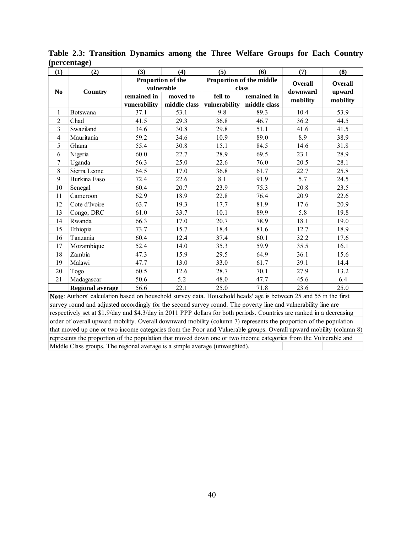| (1)            | (2)                     | (3)               | (4)        | (5)                                         | (6)                      | (7)      | (8)      |
|----------------|-------------------------|-------------------|------------|---------------------------------------------|--------------------------|----------|----------|
|                | Country                 | Proportion of the |            |                                             | Proportion of the middle | Overall  | Overall  |
| No             |                         |                   | vulnerable | class                                       |                          | downward | upward   |
|                |                         | remained in       | moved to   | fell to                                     | remained in              | mobility | mobility |
|                |                         | vunerability      |            | middle class   vulnerability   middle class |                          |          |          |
| $\mathbf{1}$   | <b>Botswana</b>         | 37.1              | 53.1       | 9.8                                         | 89.3                     | 10.4     | 53.9     |
| $\overline{2}$ | Chad                    | 41.5              | 29.3       | 36.8                                        | 46.7                     | 36.2     | 44.5     |
| $\overline{3}$ | Swaziland               | 34.6              | 30.8       | 29.8                                        | 51.1                     | 41.6     | 41.5     |
| 4              | Mauritania              | 59.2              | 34.6       | 10.9                                        | 89.0                     | 8.9      | 38.9     |
| 5              | Ghana                   | 55.4              | 30.8       | 15.1                                        | 84.5                     | 14.6     | 31.8     |
| 6              | Nigeria                 | 60.0              | 22.7       | 28.9                                        | 69.5                     | 23.1     | 28.9     |
| $\overline{7}$ | Uganda                  | 56.3              | 25.0       | 22.6                                        | 76.0                     | 20.5     | 28.1     |
| 8              | Sierra Leone            | 64.5              | 17.0       | 36.8                                        | 61.7                     | 22.7     | 25.8     |
| 9              | Burkina Faso            | 72.4              | 22.6       | 8.1                                         | 91.9                     | 5.7      | 24.5     |
| 10             | Senegal                 | 60.4              | 20.7       | 23.9                                        | 75.3                     | 20.8     | 23.5     |
| 11             | Cameroon                | 62.9              | 18.9       | 22.8                                        | 76.4                     | 20.9     | 22.6     |
| 12             | Cote d'Ivoire           | 63.7              | 19.3       | 17.7                                        | 81.9                     | 17.6     | 20.9     |
| 13             | Congo, DRC              | 61.0              | 33.7       | 10.1                                        | 89.9                     | 5.8      | 19.8     |
| 14             | Rwanda                  | 66.3              | 17.0       | 20.7                                        | 78.9                     | 18.1     | 19.0     |
| 15             | Ethiopia                | 73.7              | 15.7       | 18.4                                        | 81.6                     | 12.7     | 18.9     |
| 16             | Tanzania                | 60.4              | 12.4       | 37.4                                        | 60.1                     | 32.2     | 17.6     |
| 17             | Mozambique              | 52.4              | 14.0       | 35.3                                        | 59.9                     | 35.5     | 16.1     |
| 18             | Zambia                  | 47.3              | 15.9       | 29.5                                        | 64.9                     | 36.1     | 15.6     |
| 19             | Malawi                  | 47.7              | 13.0       | 33.0                                        | 61.7                     | 39.1     | 14.4     |
| 20             | Togo                    | 60.5              | 12.6       | 28.7                                        | 70.1                     | 27.9     | 13.2     |
| 21             | Madagascar              | 50.6              | 5.2        | 48.0                                        | 47.7                     | 45.6     | 6.4      |
|                | <b>Regional average</b> | 56.6              | 22.1       | 25.0                                        | 71.8                     | 23.6     | 25.0     |

**Table 2.3: Transition Dynamics among the Three Welfare Groups for Each Country (percentage)** 

**Note**: Authors' calculation based on household survey data. Household heads' age is between 25 and 55 in the first survey round and adjusted accordingly for the second survey round. The poverty line and vulnerability line are respectively set at \$1.9/day and \$4.3/day in 2011 PPP dollars for both periods. Countries are ranked in a decreasing order of overall upward mobility. Overall downward mobility (column 7) represents the proportion of the population that moved up one or two income categories from the Poor and Vulnerable groups. Overall upward mobility (column 8) represents the proportion of the population that moved down one or two income categories from the Vulnerable and Middle Class groups. The regional average is a simple average (unweighted).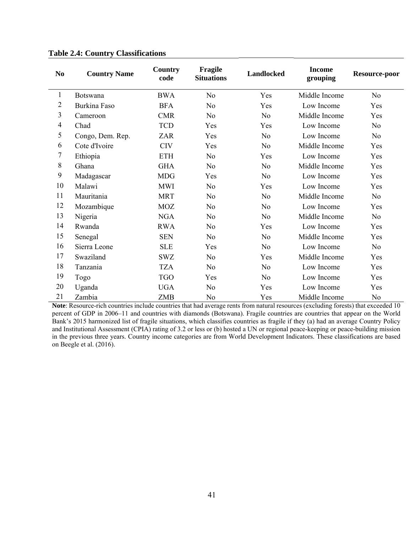| N <sub>0</sub>           | <b>Country Name</b> | Country<br>code | Fragile<br><b>Situations</b> | <b>Landlocked</b> | <b>Income</b><br>grouping | Resource-poor  |
|--------------------------|---------------------|-----------------|------------------------------|-------------------|---------------------------|----------------|
| $\mathbf{1}$             | Botswana            | <b>BWA</b>      | N <sub>o</sub>               | Yes               | Middle Income             | N <sub>0</sub> |
| $\overline{2}$           | Burkina Faso        | <b>BFA</b>      | N <sub>o</sub>               | Yes               | Low Income                | Yes            |
| $\mathfrak{Z}$           | Cameroon            | <b>CMR</b>      | N <sub>o</sub>               | N <sub>0</sub>    | Middle Income             | Yes            |
| $\overline{\mathcal{A}}$ | Chad                | <b>TCD</b>      | Yes                          | Yes               | Low Income                | N <sub>o</sub> |
| 5                        | Congo, Dem. Rep.    | ZAR             | Yes                          | N <sub>0</sub>    | Low Income                | N <sub>o</sub> |
| 6                        | Cote d'Ivoire       | <b>CIV</b>      | Yes                          | N <sub>o</sub>    | Middle Income             | Yes            |
| 7                        | Ethiopia            | <b>ETH</b>      | N <sub>0</sub>               | Yes               | Low Income                | Yes            |
| $8\,$                    | Ghana               | <b>GHA</b>      | N <sub>0</sub>               | N <sub>o</sub>    | Middle Income             | Yes            |
| 9                        | Madagascar          | <b>MDG</b>      | Yes                          | N <sub>o</sub>    | Low Income                | Yes            |
| 10                       | Malawi              | <b>MWI</b>      | N <sub>o</sub>               | Yes               | Low Income                | Yes            |
| 11                       | Mauritania          | <b>MRT</b>      | N <sub>0</sub>               | N <sub>o</sub>    | Middle Income             | N <sub>o</sub> |
| 12                       | Mozambique          | <b>MOZ</b>      | N <sub>0</sub>               | N <sub>0</sub>    | Low Income                | Yes            |
| 13                       | Nigeria             | <b>NGA</b>      | N <sub>o</sub>               | N <sub>o</sub>    | Middle Income             | N <sub>o</sub> |
| 14                       | Rwanda              | <b>RWA</b>      | N <sub>0</sub>               | Yes               | Low Income                | Yes            |
| 15                       | Senegal             | <b>SEN</b>      | N <sub>o</sub>               | N <sub>o</sub>    | Middle Income             | Yes            |
| 16                       | Sierra Leone        | <b>SLE</b>      | Yes                          | N <sub>0</sub>    | Low Income                | No             |
| 17                       | Swaziland           | <b>SWZ</b>      | N <sub>0</sub>               | Yes               | Middle Income             | Yes            |
| 18                       | Tanzania            | <b>TZA</b>      | N <sub>o</sub>               | N <sub>0</sub>    | Low Income                | Yes            |
| 19                       | Togo                | <b>TGO</b>      | Yes                          | N <sub>0</sub>    | Low Income                | Yes            |
| 20                       | Uganda              | <b>UGA</b>      | N <sub>0</sub>               | Yes               | Low Income                | Yes            |
| 21                       | Zambia              | ZMB             | N <sub>0</sub>               | Yes               | Middle Income             | N <sub>0</sub> |

#### **Table 2.4: Country Classifications**

**Note**: Resource-rich countries include countries that had average rents from natural resources (excluding forests) that exceeded 10 percent of GDP in 2006–11 and countries with diamonds (Botswana). Fragile countries are countries that appear on the World Bank's 2015 harmonized list of fragile situations, which classifies countries as fragile if they (a) had an average Country Policy and Institutional Assessment (CPIA) rating of 3.2 or less or (b) hosted a UN or regional peace-keeping or peace-building mission in the previous three years. Country income categories are from World Development Indicators. These classifications are based on Beegle et al. (2016).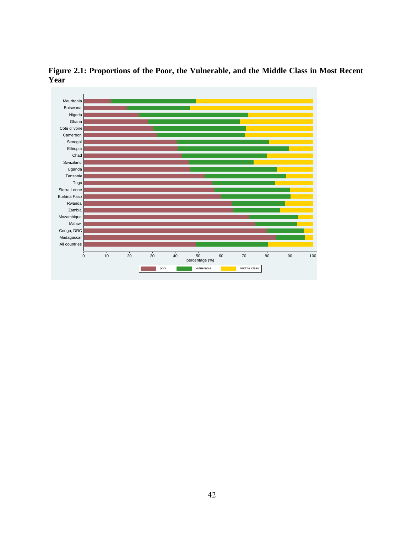

**Figure 2.1: Proportions of the Poor, the Vulnerable, and the Middle Class in Most Recent Year**